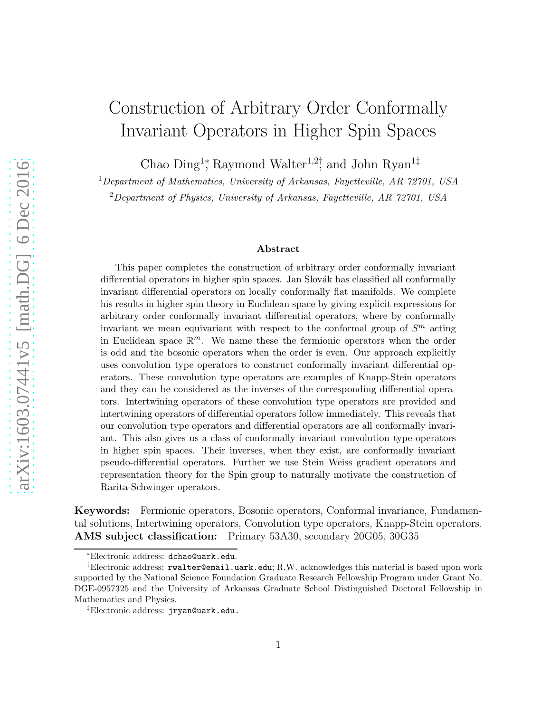# Construction of Arbitrary Order Conformally Invariant Operators in Higher Spin Spaces

Chao Ding<sup>1</sup><sup>\*</sup>, Raymond Walter<sup>1,2†</sup> and John Ryan<sup>1‡</sup>

<sup>1</sup>Department of Mathematics, University of Arkansas, Fayetteville, AR  $72701$ , USA

<sup>2</sup>Department of Physics, University of Arkansas, Fayetteville, AR 72701, USA

#### Abstract

This paper completes the construction of arbitrary order conformally invariant differential operators in higher spin spaces. Jan Slovák has classified all conformally invariant differential operators on locally conformally flat manifolds. We complete his results in higher spin theory in Euclidean space by giving explicit expressions for arbitrary order conformally invariant differential operators, where by conformally invariant we mean equivariant with respect to the conformal group of  $S<sup>m</sup>$  acting in Euclidean space  $\mathbb{R}^m$ . We name these the fermionic operators when the order is odd and the bosonic operators when the order is even. Our approach explicitly uses convolution type operators to construct conformally invariant differential operators. These convolution type operators are examples of Knapp-Stein operators and they can be considered as the inverses of the corresponding differential operators. Intertwining operators of these convolution type operators are provided and intertwining operators of differential operators follow immediately. This reveals that our convolution type operators and differential operators are all conformally invariant. This also gives us a class of conformally invariant convolution type operators in higher spin spaces. Their inverses, when they exist, are conformally invariant pseudo-differential operators. Further we use Stein Weiss gradient operators and representation theory for the Spin group to naturally motivate the construction of Rarita-Schwinger operators.

Keywords: Fermionic operators, Bosonic operators, Conformal invariance, Fundamental solutions, Intertwining operators, Convolution type operators, Knapp-Stein operators. AMS subject classification: Primary 53A30, secondary 20G05, 30G35

<sup>∗</sup>Electronic address: dchao@uark.edu.

<sup>&</sup>lt;sup>†</sup>Electronic address: **rwalter@email.uark.edu**; R.W. acknowledges this material is based upon work supported by the National Science Foundation Graduate Research Fellowship Program under Grant No. DGE-0957325 and the University of Arkansas Graduate School Distinguished Doctoral Fellowship in Mathematics and Physics.

<sup>‡</sup>Electronic address: jryan@uark.edu.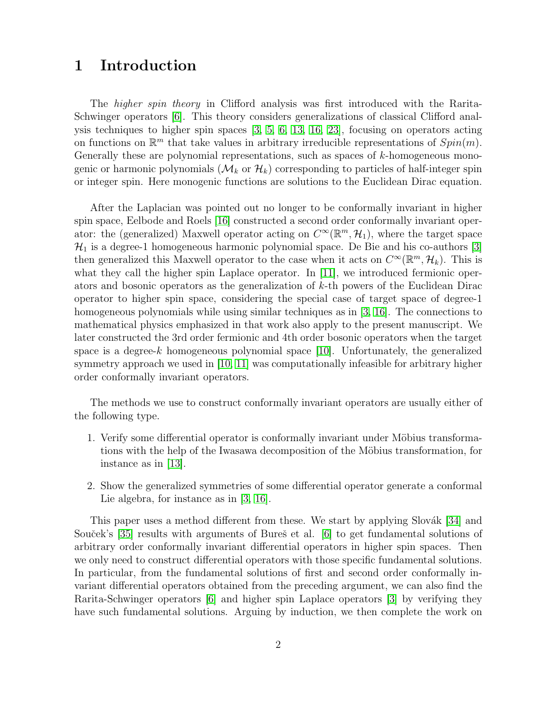### 1 Introduction

The higher spin theory in Clifford analysis was first introduced with the Rarita-Schwinger operators [\[6\]](#page-32-0). This theory considers generalizations of classical Clifford analysis techniques to higher spin spaces [\[3,](#page-31-0) [5,](#page-31-1) [6,](#page-32-0) [13,](#page-32-1) [16,](#page-32-2) [23\]](#page-33-0), focusing on operators acting on functions on  $\mathbb{R}^m$  that take values in arbitrary irreducible representations of  $Spin(m)$ . Generally these are polynomial representations, such as spaces of k-homogeneous monogenic or harmonic polynomials  $(\mathcal{M}_k$  or  $\mathcal{H}_k)$  corresponding to particles of half-integer spin or integer spin. Here monogenic functions are solutions to the Euclidean Dirac equation.

After the Laplacian was pointed out no longer to be conformally invariant in higher spin space, Eelbode and Roels [\[16\]](#page-32-2) constructed a second order conformally invariant operator: the (generalized) Maxwell operator acting on  $C^{\infty}(\mathbb{R}^m,\mathcal{H}_1)$ , where the target space  $\mathcal{H}_1$  is a degree-1 homogeneous harmonic polynomial space. De Bie and his co-authors [\[3\]](#page-31-0) then generalized this Maxwell operator to the case when it acts on  $C^{\infty}(\mathbb{R}^m, \mathcal{H}_k)$ . This is what they call the higher spin Laplace operator. In [\[11\]](#page-32-3), we introduced fermionic operators and bosonic operators as the generalization of k-th powers of the Euclidean Dirac operator to higher spin space, considering the special case of target space of degree-1 homogeneous polynomials while using similar techniques as in [\[3,](#page-31-0) [16\]](#page-32-2). The connections to mathematical physics emphasized in that work also apply to the present manuscript. We later constructed the 3rd order fermionic and 4th order bosonic operators when the target space is a degree- $k$  homogeneous polynomial space [\[10\]](#page-32-4). Unfortunately, the generalized symmetry approach we used in [\[10,](#page-32-4) [11\]](#page-32-3) was computationally infeasible for arbitrary higher order conformally invariant operators.

The methods we use to construct conformally invariant operators are usually either of the following type.

- 1. Verify some differential operator is conformally invariant under Möbius transformations with the help of the Iwasawa decomposition of the Möbius transformation, for instance as in [\[13\]](#page-32-1).
- 2. Show the generalized symmetries of some differential operator generate a conformal Lie algebra, for instance as in [\[3,](#page-31-0) [16\]](#page-32-2).

This paper uses a method different from these. We start by applying Slovák [\[34\]](#page-33-1) and Souček's [\[35\]](#page-33-2) results with arguments of Bures̆ et al. [\[6\]](#page-32-0) to get fundamental solutions of arbitrary order conformally invariant differential operators in higher spin spaces. Then we only need to construct differential operators with those specific fundamental solutions. In particular, from the fundamental solutions of first and second order conformally invariant differential operators obtained from the preceding argument, we can also find the Rarita-Schwinger operators [\[6\]](#page-32-0) and higher spin Laplace operators [\[3\]](#page-31-0) by verifying they have such fundamental solutions. Arguing by induction, we then complete the work on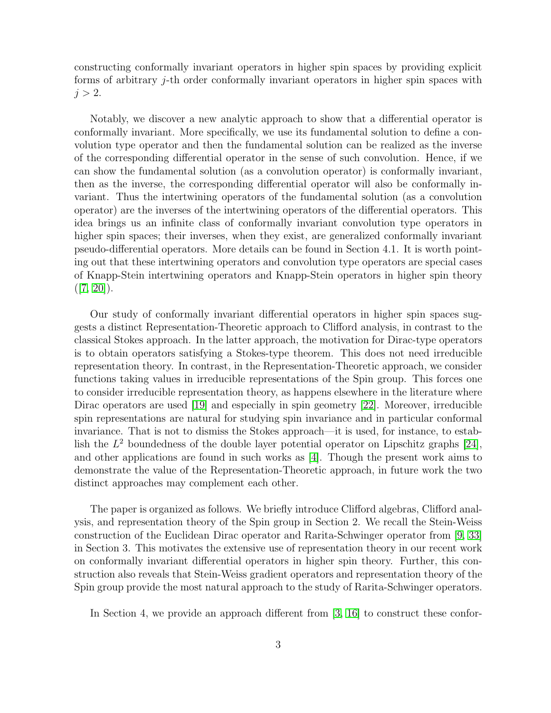constructing conformally invariant operators in higher spin spaces by providing explicit forms of arbitrary j-th order conformally invariant operators in higher spin spaces with  $j > 2$ .

Notably, we discover a new analytic approach to show that a differential operator is conformally invariant. More specifically, we use its fundamental solution to define a convolution type operator and then the fundamental solution can be realized as the inverse of the corresponding differential operator in the sense of such convolution. Hence, if we can show the fundamental solution (as a convolution operator) is conformally invariant, then as the inverse, the corresponding differential operator will also be conformally invariant. Thus the intertwining operators of the fundamental solution (as a convolution operator) are the inverses of the intertwining operators of the differential operators. This idea brings us an infinite class of conformally invariant convolution type operators in higher spin spaces; their inverses, when they exist, are generalized conformally invariant pseudo-differential operators. More details can be found in Section 4.1. It is worth pointing out that these intertwining operators and convolution type operators are special cases of Knapp-Stein intertwining operators and Knapp-Stein operators in higher spin theory  $([7, 20]).$  $([7, 20]).$  $([7, 20]).$  $([7, 20]).$ 

Our study of conformally invariant differential operators in higher spin spaces suggests a distinct Representation-Theoretic approach to Clifford analysis, in contrast to the classical Stokes approach. In the latter approach, the motivation for Dirac-type operators is to obtain operators satisfying a Stokes-type theorem. This does not need irreducible representation theory. In contrast, in the Representation-Theoretic approach, we consider functions taking values in irreducible representations of the Spin group. This forces one to consider irreducible representation theory, as happens elsewhere in the literature where Dirac operators are used [\[19\]](#page-32-7) and especially in spin geometry [\[22\]](#page-33-3). Moreover, irreducible spin representations are natural for studying spin invariance and in particular conformal invariance. That is not to dismiss the Stokes approach—it is used, for instance, to establish the  $L^2$  boundedness of the double layer potential operator on Lipschitz graphs [\[24\]](#page-33-4), and other applications are found in such works as [\[4\]](#page-31-2). Though the present work aims to demonstrate the value of the Representation-Theoretic approach, in future work the two distinct approaches may complement each other.

The paper is organized as follows. We briefly introduce Clifford algebras, Clifford analysis, and representation theory of the Spin group in Section 2. We recall the Stein-Weiss construction of the Euclidean Dirac operator and Rarita-Schwinger operator from [\[9,](#page-32-8) [33\]](#page-33-5) in Section 3. This motivates the extensive use of representation theory in our recent work on conformally invariant differential operators in higher spin theory. Further, this construction also reveals that Stein-Weiss gradient operators and representation theory of the Spin group provide the most natural approach to the study of Rarita-Schwinger operators.

In Section 4, we provide an approach different from [\[3,](#page-31-0) [16\]](#page-32-2) to construct these confor-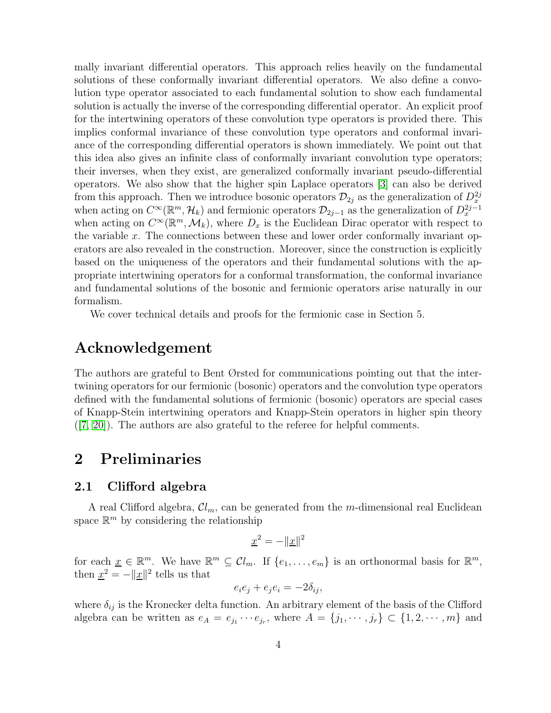mally invariant differential operators. This approach relies heavily on the fundamental solutions of these conformally invariant differential operators. We also define a convolution type operator associated to each fundamental solution to show each fundamental solution is actually the inverse of the corresponding differential operator. An explicit proof for the intertwining operators of these convolution type operators is provided there. This implies conformal invariance of these convolution type operators and conformal invariance of the corresponding differential operators is shown immediately. We point out that this idea also gives an infinite class of conformally invariant convolution type operators; their inverses, when they exist, are generalized conformally invariant pseudo-differential operators. We also show that the higher spin Laplace operators [\[3\]](#page-31-0) can also be derived from this approach. Then we introduce bosonic operators  $\mathcal{D}_{2j}$  as the generalization of  $D^{2j}_{x}$ when acting on  $C^{\infty}(\mathbb{R}^m, \mathcal{H}_k)$  and fermionic operators  $\mathcal{D}_{2j-1}$  as the generalization of  $D_x^{2j-1}$ when acting on  $C^{\infty}(\mathbb{R}^m,\mathcal{M}_k)$ , where  $D_x$  is the Euclidean Dirac operator with respect to the variable  $x$ . The connections between these and lower order conformally invariant operators are also revealed in the construction. Moreover, since the construction is explicitly based on the uniqueness of the operators and their fundamental solutions with the appropriate intertwining operators for a conformal transformation, the conformal invariance and fundamental solutions of the bosonic and fermionic operators arise naturally in our formalism.

We cover technical details and proofs for the fermionic case in Section 5.

### Acknowledgement

The authors are grateful to Bent Ørsted for communications pointing out that the intertwining operators for our fermionic (bosonic) operators and the convolution type operators defined with the fundamental solutions of fermionic (bosonic) operators are special cases of Knapp-Stein intertwining operators and Knapp-Stein operators in higher spin theory ([\[7,](#page-32-5) [20\]](#page-32-6)). The authors are also grateful to the referee for helpful comments.

### 2 Preliminaries

### 2.1 Clifford algebra

A real Clifford algebra,  $Cl_m$ , can be generated from the m-dimensional real Euclidean space  $\mathbb{R}^m$  by considering the relationship

$$
\underline{x}^2 = -\|\underline{x}\|^2
$$

for each  $\underline{x} \in \mathbb{R}^m$ . We have  $\mathbb{R}^m \subseteq \mathcal{C}l_m$ . If  $\{e_1, \ldots, e_m\}$  is an orthonormal basis for  $\mathbb{R}^m$ , then  $\underline{x}^2 = -||\underline{x}||^2$  tells us that

$$
e_i e_j + e_j e_i = -2\delta_{ij},
$$

where  $\delta_{ij}$  is the Kronecker delta function. An arbitrary element of the basis of the Clifford algebra can be written as  $e_A = e_{j_1} \cdots e_{j_r}$ , where  $A = \{j_1, \dots, j_r\} \subset \{1, 2, \dots, m\}$  and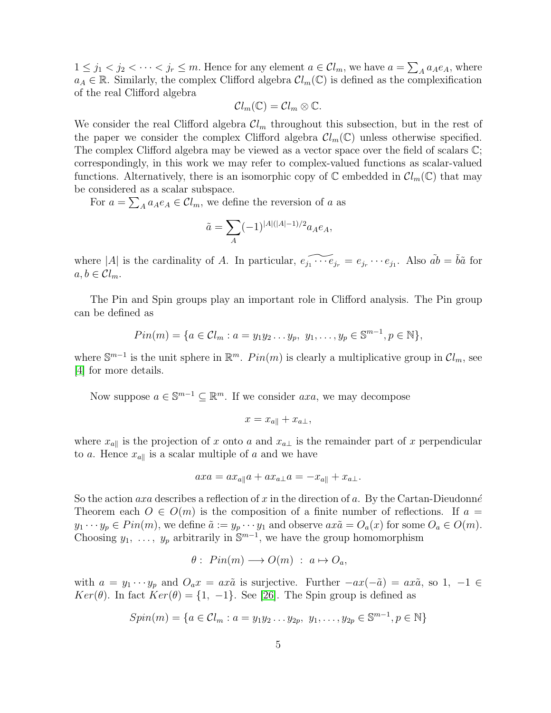$1 \leq j_1 < j_2 < \cdots < j_r \leq m$ . Hence for any element  $a \in \mathcal{C}l_m$ , we have  $a = \sum_{A} a_A e_A$ , where  $a_A \in \mathbb{R}$ . Similarly, the complex Clifford algebra  $Cl_m(\mathbb{C})$  is defined as the complexification of the real Clifford algebra

$$
\mathcal{C}l_m(\mathbb{C})=\mathcal{C}l_m\otimes\mathbb{C}.
$$

We consider the real Clifford algebra  $Cl_m$  throughout this subsection, but in the rest of the paper we consider the complex Clifford algebra  $Cl_m(\mathbb{C})$  unless otherwise specified. The complex Clifford algebra may be viewed as a vector space over the field of scalars C; correspondingly, in this work we may refer to complex-valued functions as scalar-valued functions. Alternatively, there is an isomorphic copy of  $\mathbb C$  embedded in  $\mathcal{Cl}_m(\mathbb C)$  that may be considered as a scalar subspace.

For  $a = \sum_{A} a_{A} e_{A} \in \mathcal{C}l_{m}$ , we define the reversion of a as

$$
\tilde{a} = \sum_{A} (-1)^{|A|(|A|-1)/2} a_A e_A,
$$

where |A| is the cardinality of A. In particular,  $\widetilde{e_{j_1} \cdots e_{j_r}} = e_{j_r} \cdots e_{j_1}$ . Also  $\widetilde{ab} = \widetilde{ba}$  for  $a, b \in \mathcal{C}l_m$ .

The Pin and Spin groups play an important role in Clifford analysis. The Pin group can be defined as

$$
Pin(m) = \{a \in Cl_m : a = y_1 y_2 \dots y_p, \ y_1, \dots, y_p \in \mathbb{S}^{m-1}, p \in \mathbb{N}\},\
$$

where  $\mathbb{S}^{m-1}$  is the unit sphere in  $\mathbb{R}^m$ .  $Pin(m)$  is clearly a multiplicative group in  $\mathcal{Cl}_m$ , see [\[4\]](#page-31-2) for more details.

Now suppose  $a \in \mathbb{S}^{m-1} \subseteq \mathbb{R}^m$ . If we consider  $axa$ , we may decompose

$$
x = x_{a\parallel} + x_{a\perp},
$$

where  $x_{a\parallel}$  is the projection of x onto a and  $x_{a\perp}$  is the remainder part of x perpendicular to a. Hence  $x_{a\parallel}$  is a scalar multiple of a and we have

$$
axa = ax_{a\parallel}a + ax_{a\perp}a = -x_{a\parallel} + x_{a\perp}.
$$

So the action  $axa$  describes a reflection of x in the direction of a. By the Cartan-Dieudonné Theorem each  $O \in O(m)$  is the composition of a finite number of reflections. If  $a =$  $y_1 \cdots y_p \in Pin(m)$ , we define  $\tilde{a} := y_p \cdots y_1$  and observe  $ax\tilde{a} = O_a(x)$  for some  $O_a \in O(m)$ . Choosing  $y_1, \ldots, y_p$  arbitrarily in  $\mathbb{S}^{m-1}$ , we have the group homomorphism

$$
\theta: Pin(m) \longrightarrow O(m) : a \mapsto O_a,
$$

with  $a = y_1 \cdots y_p$  and  $O_a x = a x \tilde{a}$  is surjective. Further  $-a x (-\tilde{a}) = a x \tilde{a}$ , so 1,  $-1 \in$  $Ker(\theta)$ . In fact  $Ker(\theta) = \{1, -1\}$ . See [\[26\]](#page-33-6). The Spin group is defined as

$$
Spin(m) = \{a \in Cl_m : a = y_1y_2 \dots y_{2p}, y_1, \dots, y_{2p} \in \mathbb{S}^{m-1}, p \in \mathbb{N}\}\
$$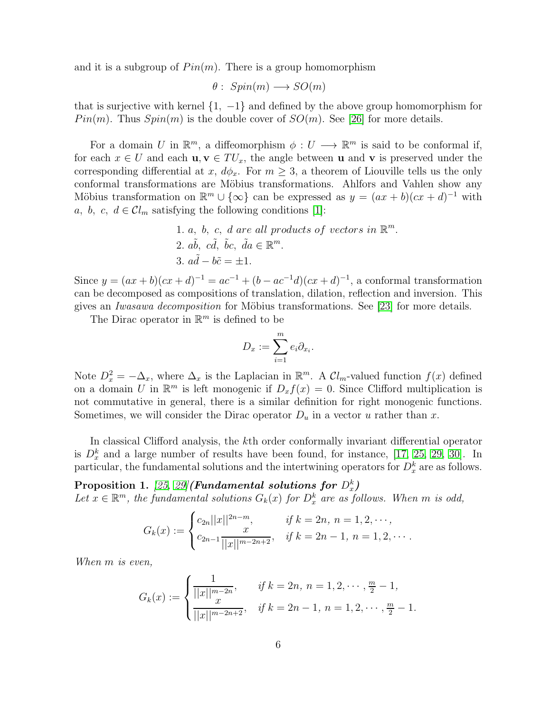and it is a subgroup of  $Pin(m)$ . There is a group homomorphism

$$
\theta: Spin(m) \longrightarrow SO(m)
$$

that is surjective with kernel  $\{1, -1\}$  and defined by the above group homomorphism for  $Pin(m)$ . Thus  $Spin(m)$  is the double cover of  $SO(m)$ . See [\[26\]](#page-33-6) for more details.

For a domain U in  $\mathbb{R}^m$ , a diffeomorphism  $\phi: U \longrightarrow \mathbb{R}^m$  is said to be conformal if, for each  $x \in U$  and each  $\mathbf{u}, \mathbf{v} \in TU_x$ , the angle between **u** and **v** is preserved under the corresponding differential at x,  $d\phi_x$ . For  $m \geq 3$ , a theorem of Liouville tells us the only conformal transformations are Möbius transformations. Ahlfors and Vahlen show any Möbius transformation on  $\mathbb{R}^m \cup \{\infty\}$  can be expressed as  $y = (ax + b)(cx + d)^{-1}$  with a, b, c,  $d \in \mathcal{C}l_m$  satisfying the following conditions [\[1\]](#page-31-3):

> 1. a, b, c, d are all products of vectors in  $\mathbb{R}^m$ . 2.  $a\tilde{b}$ ,  $c\tilde{d}$ ,  $\tilde{b}c$ ,  $\tilde{d}a \in \mathbb{R}^m$ . 3.  $a\tilde{d} - b\tilde{c} = \pm 1$ .

Since  $y = (ax + b)(cx + d)^{-1} = ac^{-1} + (b - ac^{-1}d)(cx + d)^{-1}$ , a conformal transformation can be decomposed as compositions of translation, dilation, reflection and inversion. This gives an Iwasawa decomposition for Möbius transformations. See [\[23\]](#page-33-0) for more details.

The Dirac operator in  $\mathbb{R}^m$  is defined to be

$$
D_x := \sum_{i=1}^m e_i \partial_{x_i}.
$$

Note  $D_x^2 = -\Delta_x$ , where  $\Delta_x$  is the Laplacian in  $\mathbb{R}^m$ . A  $\mathcal{Cl}_m$ -valued function  $f(x)$  defined on a domain U in  $\mathbb{R}^m$  is left monogenic if  $D_x f(x) = 0$ . Since Clifford multiplication is not commutative in general, there is a similar definition for right monogenic functions. Sometimes, we will consider the Dirac operator  $D_u$  in a vector u rather than x.

In classical Clifford analysis, the kth order conformally invariant differential operator is  $D_x^k$  and a large number of results have been found, for instance, [\[17,](#page-32-9) [25,](#page-33-7) [29,](#page-33-8) [30\]](#page-33-9). In particular, the fundamental solutions and the intertwining operators for  $D_x^k$  are as follows.

 $\emph{Proposition 1. [25, 29]/Fundamental solutions for $D_x^k$})$  $\emph{Proposition 1. [25, 29]/Fundamental solutions for $D_x^k$})$  $\emph{Proposition 1. [25, 29]/Fundamental solutions for $D_x^k$})$  $\emph{Proposition 1. [25, 29]/Fundamental solutions for $D_x^k$})$ Let  $x \in \mathbb{R}^m$ , the fundamental solutions  $G_k(x)$  for  $D_x^k$  are as follows. When m is odd,

$$
G_k(x) := \begin{cases} c_{2n} ||x||^{2n-m}, & \text{if } k = 2n, n = 1, 2, \cdots, \\ c_{2n-1} \frac{x}{||x||^{m-2n+2}}, & \text{if } k = 2n-1, n = 1, 2, \cdots. \end{cases}
$$

When m is even,

$$
G_k(x) := \begin{cases} \frac{1}{||x||^{m-2n}}, & \text{if } k = 2n, \ n = 1, 2, \cdots, \frac{m}{2} - 1, \\ \frac{x}{||x||^{m-2n+2}}, & \text{if } k = 2n - 1, \ n = 1, 2, \cdots, \frac{m}{2} - 1. \end{cases}
$$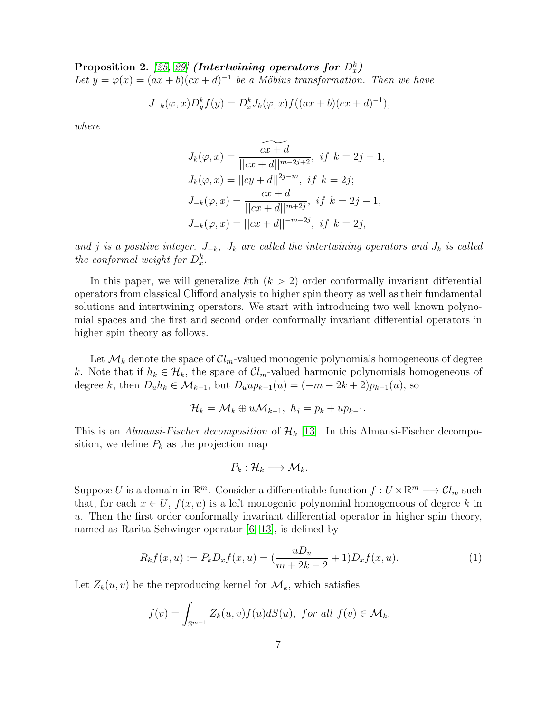<span id="page-6-1"></span> $\emph{Proposition 2. [25, 29] (Intertwining operators for $D_x^k$)}$  $\emph{Proposition 2. [25, 29] (Intertwining operators for $D_x^k$)}$  $\emph{Proposition 2. [25, 29] (Intertwining operators for $D_x^k$)}$  $\emph{Proposition 2. [25, 29] (Intertwining operators for $D_x^k$)}$ Let  $y = \varphi(x) = (ax + b)(cx + d)^{-1}$  be a Möbius transformation. Then we have

$$
J_{-k}(\varphi, x)D_y^k f(y) = D_x^k J_k(\varphi, x) f((ax + b)(cx + d)^{-1}),
$$

where

$$
J_k(\varphi, x) = \frac{\widetilde{cx+d}}{||cx+d||^{m-2j+2}}, \text{ if } k = 2j - 1,
$$
  
\n
$$
J_k(\varphi, x) = ||cy+d||^{2j-m}, \text{ if } k = 2j;
$$
  
\n
$$
J_{-k}(\varphi, x) = \frac{cx+d}{||cx+d||^{m+2j}}, \text{ if } k = 2j - 1,
$$
  
\n
$$
J_{-k}(\varphi, x) = ||cx+d||^{-m-2j}, \text{ if } k = 2j,
$$

and j is a positive integer.  $J_{-k}$ ,  $J_k$  are called the intertwining operators and  $J_k$  is called the conformal weight for  $D_x^k$ .

In this paper, we will generalize kth  $(k > 2)$  order conformally invariant differential operators from classical Clifford analysis to higher spin theory as well as their fundamental solutions and intertwining operators. We start with introducing two well known polynomial spaces and the first and second order conformally invariant differential operators in higher spin theory as follows.

Let  $\mathcal{M}_k$  denote the space of  $\mathcal{C}l_m$ -valued monogenic polynomials homogeneous of degree k. Note that if  $h_k \in \mathcal{H}_k$ , the space of  $\mathcal{Cl}_m$ -valued harmonic polynomials homogeneous of degree k, then  $D_u h_k \in M_{k-1}$ , but  $D_u u p_{k-1}(u) = (-m - 2k + 2)p_{k-1}(u)$ , so

$$
\mathcal{H}_k = \mathcal{M}_k \oplus u \mathcal{M}_{k-1}, \ h_j = p_k + u p_{k-1}.
$$

This is an *Almansi-Fischer decomposition* of  $\mathcal{H}_k$  [\[13\]](#page-32-1). In this Almansi-Fischer decomposition, we define  $P_k$  as the projection map

$$
P_k: \mathcal{H}_k \longrightarrow \mathcal{M}_k.
$$

Suppose U is a domain in  $\mathbb{R}^m$ . Consider a differentiable function  $f: U \times \mathbb{R}^m \longrightarrow \mathcal{C}l_m$  such that, for each  $x \in U$ ,  $f(x, u)$  is a left monogenic polynomial homogeneous of degree k in u. Then the first order conformally invariant differential operator in higher spin theory, named as Rarita-Schwinger operator [\[6,](#page-32-0) [13\]](#page-32-1), is defined by

<span id="page-6-0"></span>
$$
R_k f(x, u) := P_k D_x f(x, u) = \left(\frac{u D_u}{m + 2k - 2} + 1\right) D_x f(x, u). \tag{1}
$$

Let  $Z_k(u, v)$  be the reproducing kernel for  $\mathcal{M}_k$ , which satisfies

$$
f(v) = \int_{\mathbb{S}^{m-1}} \overline{Z_k(u,v)} f(u) dS(u), \text{ for all } f(v) \in \mathcal{M}_k.
$$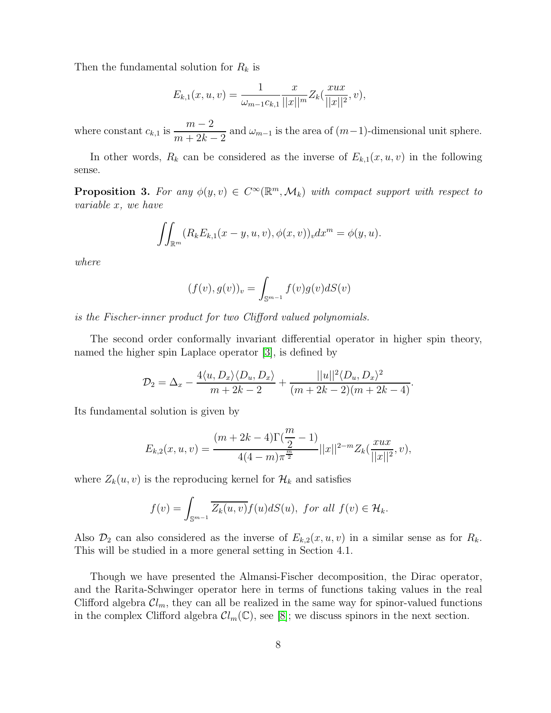Then the fundamental solution for  $R_k$  is

$$
E_{k,1}(x, u, v) = \frac{1}{\omega_{m-1}c_{k,1}} \frac{x}{||x||^m} Z_k(\frac{xux}{||x||^2}, v),
$$

where constant  $c_{k,1}$  is  $\frac{m-2}{m+2k}$  $m + 2k - 2$ and  $\omega_{m-1}$  is the area of  $(m-1)$ -dimensional unit sphere.

In other words,  $R_k$  can be considered as the inverse of  $E_{k,1}(x, u, v)$  in the following sense.

**Proposition 3.** For any  $\phi(y, v) \in C^{\infty}(\mathbb{R}^m, \mathcal{M}_k)$  with compact support with respect to variable x, we have

$$
\iint_{\mathbb{R}^m} (R_k E_{k,1}(x-y,u,v), \phi(x,v))_v dx^m = \phi(y,u).
$$

where

$$
(f(v),g(v))_v = \int_{\mathbb{S}^{m-1}} f(v)g(v)dS(v)
$$

is the Fischer-inner product for two Clifford valued polynomials.

The second order conformally invariant differential operator in higher spin theory, named the higher spin Laplace operator [\[3\]](#page-31-0), is defined by

$$
\mathcal{D}_2 = \Delta_x - \frac{4\langle u, D_x \rangle \langle D_u, D_x \rangle}{m + 2k - 2} + \frac{||u||^2 \langle D_u, D_x \rangle^2}{(m + 2k - 2)(m + 2k - 4)}.
$$

Its fundamental solution is given by

$$
E_{k,2}(x, u, v) = \frac{(m + 2k - 4)\Gamma(\frac{m}{2} - 1)}{4(4 - m)\pi^{\frac{m}{2}}} ||x||^{2 - m} Z_k(\frac{xux}{||x||^2}, v),
$$

where  $Z_k(u, v)$  is the reproducing kernel for  $\mathcal{H}_k$  and satisfies

$$
f(v) = \int_{\mathbb{S}^{m-1}} \overline{Z_k(u,v)} f(u) dS(u), \text{ for all } f(v) \in \mathcal{H}_k.
$$

Also  $\mathcal{D}_2$  can also considered as the inverse of  $E_{k,2}(x, u, v)$  in a similar sense as for  $R_k$ . This will be studied in a more general setting in Section 4.1.

Though we have presented the Almansi-Fischer decomposition, the Dirac operator, and the Rarita-Schwinger operator here in terms of functions taking values in the real Clifford algebra  $Cl_m$ , they can all be realized in the same way for spinor-valued functions in the complex Clifford algebra  $Cl_m(\mathbb{C})$ , see [\[8\]](#page-32-10); we discuss spinors in the next section.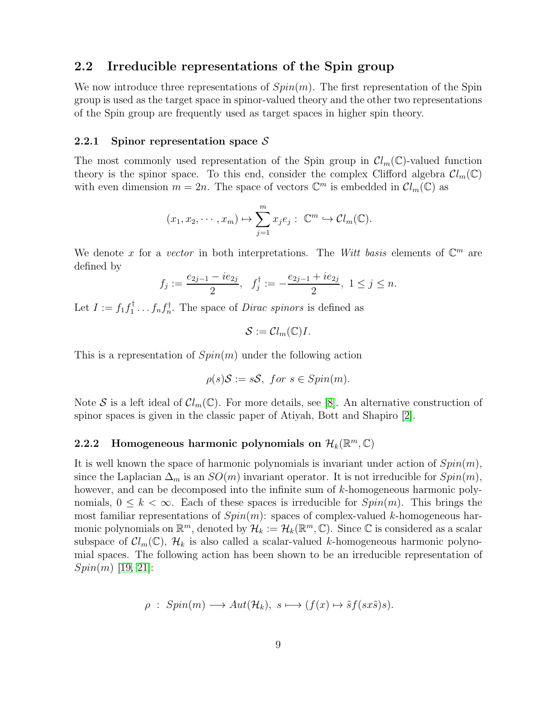### 2.2 Irreducible representations of the Spin group

We now introduce three representations of  $Spin(m)$ . The first representation of the Spin group is used as the target space in spinor-valued theory and the other two representations of the Spin group are frequently used as target spaces in higher spin theory.

#### 2.2.1 Spinor representation space  $S$

The most commonly used representation of the Spin group in  $Cl_m(\mathbb{C})$ -valued function theory is the spinor space. To this end, consider the complex Clifford algebra  $Cl_m(\mathbb{C})$ with even dimension  $m = 2n$ . The space of vectors  $\mathbb{C}^m$  is embedded in  $\mathcal{Cl}_m(\mathbb{C})$  as

$$
(x_1, x_2, \cdots, x_m) \mapsto \sum_{j=1}^m x_j e_j : \mathbb{C}^m \hookrightarrow \mathcal{C}l_m(\mathbb{C}).
$$

We denote x for a vector in both interpretations. The Witt basis elements of  $\mathbb{C}^m$  are defined by

$$
f_j:=\frac{e_{2j-1}-ie_{2j}}{2},\ \ f_j^{\dagger}:=-\frac{e_{2j-1}+ie_{2j}}{2},\ 1\leq j\leq n.
$$

Let  $I := f_1 f_1^{\dagger}$  $i_1^{\dagger} \ldots f_n f_n^{\dagger}$ . The space of *Dirac spinors* is defined as

$$
\mathcal{S}:=\mathcal{C}l_m(\mathbb{C})I.
$$

This is a representation of  $Spin(m)$  under the following action

$$
\rho(s)\mathcal{S} := s\mathcal{S}, \text{ for } s \in Spin(m).
$$

Note S is a left ideal of  $Cl_m(\mathbb{C})$ . For more details, see [\[8\]](#page-32-10). An alternative construction of spinor spaces is given in the classic paper of Atiyah, Bott and Shapiro [\[2\]](#page-31-4).

## 2.2.2 Homogeneous harmonic polynomials on  $\mathcal{H}_k(\mathbb{R}^m,\mathbb{C})$

It is well known the space of harmonic polynomials is invariant under action of  $Spin(m)$ , since the Laplacian  $\Delta_m$  is an  $SO(m)$  invariant operator. It is not irreducible for  $Spin(m)$ , however, and can be decomposed into the infinite sum of k-homogeneous harmonic polynomials,  $0 \leq k < \infty$ . Each of these spaces is irreducible for  $Spin(m)$ . This brings the most familiar representations of  $Spin(m)$ : spaces of complex-valued k-homogeneous harmonic polynomials on  $\mathbb{R}^m$ , denoted by  $\mathcal{H}_k := \mathcal{H}_k(\mathbb{R}^m,\mathbb{C})$ . Since  $\mathbb C$  is considered as a scalar subspace of  $Cl_m(\mathbb{C})$ ,  $\mathcal{H}_k$  is also called a scalar-valued k-homogeneous harmonic polynomial spaces. The following action has been shown to be an irreducible representation of  $Spin(m)$  [\[19,](#page-32-7) [21\]](#page-32-11):

$$
\rho : Spin(m) \longrightarrow Aut(\mathcal{H}_k), s \longmapsto (f(x) \mapsto \tilde{s}f(sx\tilde{s})s).
$$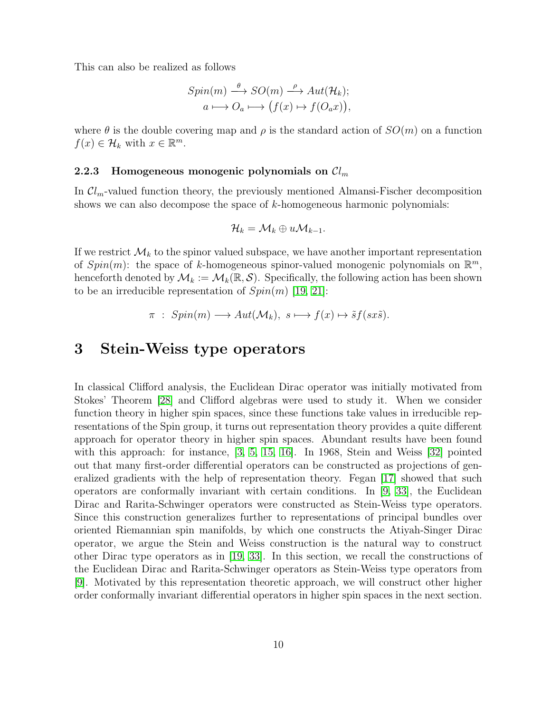This can also be realized as follows

$$
Spin(m) \xrightarrow{\theta} SO(m) \xrightarrow{\rho} Aut(\mathcal{H}_k);
$$
  

$$
a \longmapsto O_a \longmapsto (f(x) \mapsto f(O_a x)),
$$

where  $\theta$  is the double covering map and  $\rho$  is the standard action of  $SO(m)$  on a function  $f(x) \in \mathcal{H}_k$  with  $x \in \mathbb{R}^m$ .

### 2.2.3 Homogeneous monogenic polynomials on  $Cl_m$

In  $Cl_m$ -valued function theory, the previously mentioned Almansi-Fischer decomposition shows we can also decompose the space of  $k$ -homogeneous harmonic polynomials:

$$
\mathcal{H}_k=\mathcal{M}_k\oplus u\mathcal{M}_{k-1}.
$$

If we restrict  $\mathcal{M}_k$  to the spinor valued subspace, we have another important representation of  $Spin(m)$ : the space of k-homogeneous spinor-valued monogenic polynomials on  $\mathbb{R}^m$ , henceforth denoted by  $\mathcal{M}_k := \mathcal{M}_k(\mathbb{R}, \mathcal{S})$ . Specifically, the following action has been shown to be an irreducible representation of  $Spin(m)$  [\[19,](#page-32-7) [21\]](#page-32-11):

$$
\pi : Spin(m) \longrightarrow Aut(\mathcal{M}_k), \ s \longmapsto f(x) \mapsto \tilde{s}f(sx\tilde{s}).
$$

### 3 Stein-Weiss type operators

In classical Clifford analysis, the Euclidean Dirac operator was initially motivated from Stokes' Theorem [\[28\]](#page-33-10) and Clifford algebras were used to study it. When we consider function theory in higher spin spaces, since these functions take values in irreducible representations of the Spin group, it turns out representation theory provides a quite different approach for operator theory in higher spin spaces. Abundant results have been found with this approach: for instance, [\[3,](#page-31-0) [5,](#page-31-1) [15,](#page-32-12) [16\]](#page-32-2). In 1968, Stein and Weiss [\[32\]](#page-33-11) pointed out that many first-order differential operators can be constructed as projections of generalized gradients with the help of representation theory. Fegan [\[17\]](#page-32-9) showed that such operators are conformally invariant with certain conditions. In [\[9,](#page-32-8) [33\]](#page-33-5), the Euclidean Dirac and Rarita-Schwinger operators were constructed as Stein-Weiss type operators. Since this construction generalizes further to representations of principal bundles over oriented Riemannian spin manifolds, by which one constructs the Atiyah-Singer Dirac operator, we argue the Stein and Weiss construction is the natural way to construct other Dirac type operators as in [\[19,](#page-32-7) [33\]](#page-33-5). In this section, we recall the constructions of the Euclidean Dirac and Rarita-Schwinger operators as Stein-Weiss type operators from [\[9\]](#page-32-8). Motivated by this representation theoretic approach, we will construct other higher order conformally invariant differential operators in higher spin spaces in the next section.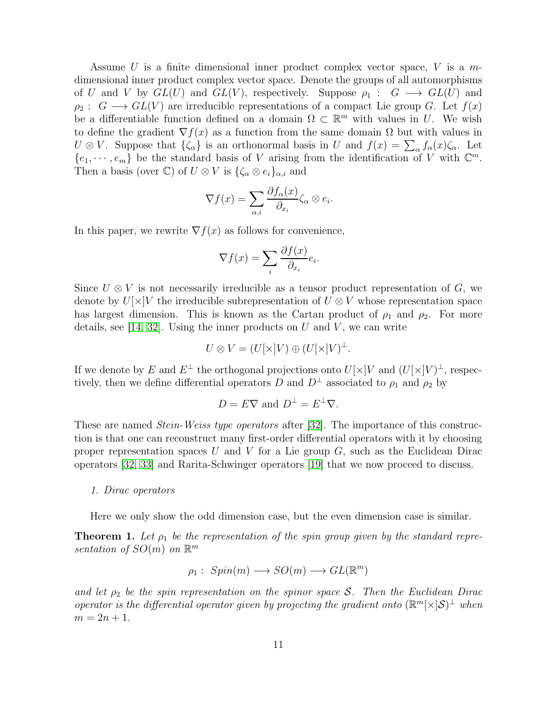Assume U is a finite dimensional inner product complex vector space, V is a  $m$ dimensional inner product complex vector space. Denote the groups of all automorphisms of U and V by  $GL(U)$  and  $GL(V)$ , respectively. Suppose  $\rho_1: G \longrightarrow GL(U)$  and  $\rho_2: G \longrightarrow GL(V)$  are irreducible representations of a compact Lie group G. Let  $f(x)$ be a differentiable function defined on a domain  $\Omega \subset \mathbb{R}^m$  with values in U. We wish to define the gradient  $\nabla f(x)$  as a function from the same domain  $\Omega$  but with values in  $U \otimes V$ . Suppose that  $\{\zeta_{\alpha}\}\$ is an orthonormal basis in U and  $f(x) = \sum_{\alpha} f_{\alpha}(x) \zeta_{\alpha}$ . Let  ${e_1, \dots, e_m}$  be the standard basis of V arising from the identification of V with  $\mathbb{C}^m$ . Then a basis (over  $\mathbb{C}$ ) of  $U \otimes V$  is  $\{\zeta_{\alpha} \otimes e_i\}_{\alpha,i}$  and

$$
\nabla f(x) = \sum_{\alpha,i} \frac{\partial f_{\alpha}(x)}{\partial_{x_i}} \zeta_{\alpha} \otimes e_i.
$$

In this paper, we rewrite  $\nabla f(x)$  as follows for convenience,

$$
\nabla f(x) = \sum_{i} \frac{\partial f(x)}{\partial_{x_i}} e_i.
$$

Since  $U \otimes V$  is not necessarily irreducible as a tensor product representation of G, we denote by  $U[\times]V$  the irreducible subrepresentation of  $U \otimes V$  whose representation space has largest dimension. This is known as the Cartan product of  $\rho_1$  and  $\rho_2$ . For more details, see [\[14,](#page-32-13) [32\]](#page-33-11). Using the inner products on  $U$  and  $V$ , we can write

$$
U \otimes V = (U[\times]V) \oplus (U[\times]V)^{\perp}.
$$

If we denote by E and  $E^{\perp}$  the orthogonal projections onto  $U[\times]V$  and  $(U[\times]V)^{\perp}$ , respectively, then we define differential operators D and  $D^{\perp}$  associated to  $\rho_1$  and  $\rho_2$  by

$$
D = E \nabla \text{ and } D^{\perp} = E^{\perp} \nabla.
$$

These are named *Stein-Weiss type operators* after [\[32\]](#page-33-11). The importance of this construction is that one can reconstruct many first-order differential operators with it by choosing proper representation spaces  $U$  and  $V$  for a Lie group  $G$ , such as the Euclidean Dirac operators [\[32,](#page-33-11) [33\]](#page-33-5) and Rarita-Schwinger operators [\[19\]](#page-32-7) that we now proceed to discuss.

#### 1. Dirac operators

Here we only show the odd dimension case, but the even dimension case is similar.

**Theorem 1.** Let  $\rho_1$  be the representation of the spin group given by the standard representation of  $SO(m)$  on  $\mathbb{R}^m$ 

$$
\rho_1: Spin(m) \longrightarrow SO(m) \longrightarrow GL(\mathbb{R}^m)
$$

and let  $\rho_2$  be the spin representation on the spinor space S. Then the Euclidean Dirac operator is the differential operator given by projecting the gradient onto  $(\mathbb{R}^m[\times]S)^{\perp}$  when  $m = 2n + 1.$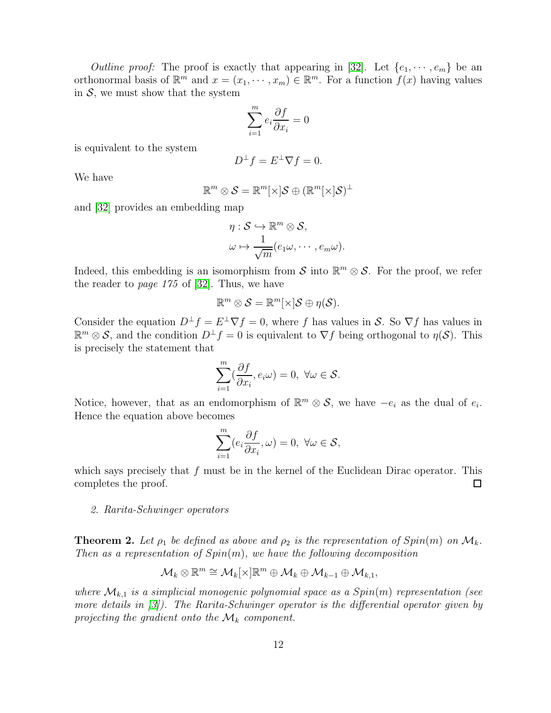*Outline proof:* The proof is exactly that appearing in [\[32\]](#page-33-11). Let  $\{e_1, \dots, e_m\}$  be an orthonormal basis of  $\mathbb{R}^m$  and  $x = (x_1, \dots, x_m) \in \mathbb{R}^m$ . For a function  $f(x)$  having values in  $S$ , we must show that the system

$$
\sum_{i=1}^{m} e_i \frac{\partial f}{\partial x_i} = 0
$$

is equivalent to the system

$$
D^{\perp}f = E^{\perp}\nabla f = 0.
$$

We have

$$
\mathbb{R}^m \otimes \mathcal{S} = \mathbb{R}^m[\times] \mathcal{S} \oplus (\mathbb{R}^m[\times] \mathcal{S})^{\perp}
$$

and [\[32\]](#page-33-11) provides an embedding map

$$
\eta: \mathcal{S} \hookrightarrow \mathbb{R}^m \otimes \mathcal{S},
$$

$$
\omega \mapsto \frac{1}{\sqrt{m}}(e_1\omega, \cdots, e_m\omega).
$$

Indeed, this embedding is an isomorphism from S into  $\mathbb{R}^m \otimes S$ . For the proof, we refer the reader to page 175 of [\[32\]](#page-33-11). Thus, we have

$$
\mathbb{R}^m \otimes \mathcal{S} = \mathbb{R}^m[\times] \mathcal{S} \oplus \eta(\mathcal{S}).
$$

Consider the equation  $D^{\perp} f = E^{\perp} \nabla f = 0$ , where f has values in S. So  $\nabla f$  has values in  $\mathbb{R}^m \otimes \mathcal{S}$ , and the condition  $D^{\perp} f = 0$  is equivalent to  $\nabla f$  being orthogonal to  $\eta(\mathcal{S})$ . This is precisely the statement that

$$
\sum_{i=1}^{m} \left(\frac{\partial f}{\partial x_i}, e_i \omega\right) = 0, \ \forall \omega \in \mathcal{S}.
$$

Notice, however, that as an endomorphism of  $\mathbb{R}^m \otimes \mathcal{S}$ , we have  $-e_i$  as the dual of  $e_i$ . Hence the equation above becomes

$$
\sum_{i=1}^m(e_i\frac{\partial f}{\partial x_i},\omega)=0, \; \forall \omega \in \mathcal{S},
$$

which says precisely that  $f$  must be in the kernel of the Euclidean Dirac operator. This completes the proof.  $\Box$ 

#### 2. Rarita-Schwinger operators

**Theorem 2.** Let  $\rho_1$  be defined as above and  $\rho_2$  is the representation of  $Spin(m)$  on  $\mathcal{M}_k$ . Then as a representation of  $Spin(m)$ , we have the following decomposition

$$
\mathcal{M}_k \otimes \mathbb{R}^m \cong \mathcal{M}_k[\times]\mathbb{R}^m \oplus \mathcal{M}_k \oplus \mathcal{M}_{k-1} \oplus \mathcal{M}_{k,1},
$$

where  $\mathcal{M}_{k,1}$  is a simplicial monogenic polynomial space as a  $Spin(m)$  representation (see more details in [\[3\]](#page-31-0)). The Rarita-Schwinger operator is the differential operator given by projecting the gradient onto the  $\mathcal{M}_k$  component.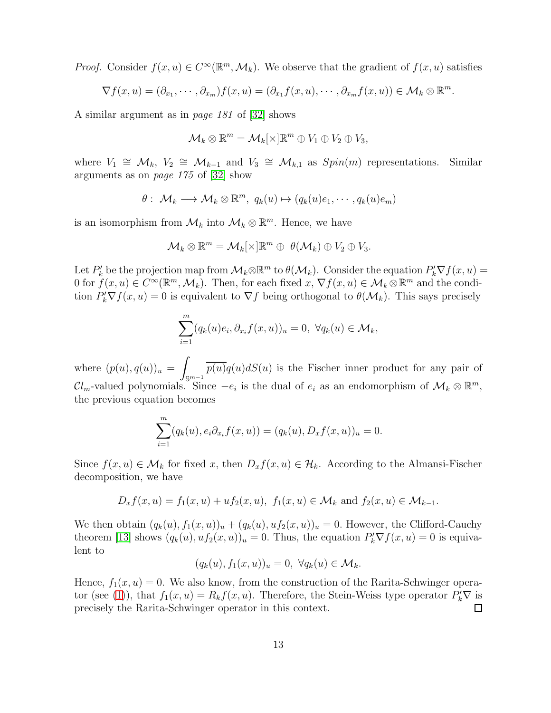*Proof.* Consider  $f(x, u) \in C^{\infty}(\mathbb{R}^m, \mathcal{M}_k)$ . We observe that the gradient of  $f(x, u)$  satisfies

$$
\nabla f(x, u) = (\partial_{x_1}, \cdots, \partial_{x_m}) f(x, u) = (\partial_{x_1} f(x, u), \cdots, \partial_{x_m} f(x, u)) \in \mathcal{M}_k \otimes \mathbb{R}^m.
$$

A similar argument as in page 181 of [\[32\]](#page-33-11) shows

$$
\mathcal{M}_k \otimes \mathbb{R}^m = \mathcal{M}_k[\times] \mathbb{R}^m \oplus V_1 \oplus V_2 \oplus V_3,
$$

where  $V_1 \cong M_k$ ,  $V_2 \cong M_{k-1}$  and  $V_3 \cong M_{k,1}$  as  $Spin(m)$  representations. Similar arguments as on page 175 of [\[32\]](#page-33-11) show

$$
\theta: \ \mathcal{M}_k \longrightarrow \mathcal{M}_k \otimes \mathbb{R}^m, \ q_k(u) \mapsto (q_k(u)e_1, \cdots, q_k(u)e_m)
$$

is an isomorphism from  $\mathcal{M}_k$  into  $\mathcal{M}_k \otimes \mathbb{R}^m$ . Hence, we have

$$
\mathcal{M}_k \otimes \mathbb{R}^m = \mathcal{M}_k[\times] \mathbb{R}^m \oplus \theta(\mathcal{M}_k) \oplus V_2 \oplus V_3.
$$

Let  $P'_k$  be the projection map from  $\mathcal{M}_k \otimes \mathbb{R}^m$  to  $\theta(\mathcal{M}_k)$ . Consider the equation  $P'_k \nabla f(x, u) =$ 0 for  $f(x, u) \in C^{\infty}(\mathbb{R}^m, \mathcal{M}_k)$ . Then, for each fixed  $x, \nabla f(x, u) \in \mathcal{M}_k \otimes \mathbb{R}^m$  and the condition  $P'_k \nabla f(x, u) = 0$  is equivalent to  $\nabla f$  being orthogonal to  $\theta(\mathcal{M}_k)$ . This says precisely

$$
\sum_{i=1}^{m} (q_k(u)e_i, \partial_{x_i} f(x, u))_u = 0, \ \forall q_k(u) \in \mathcal{M}_k,
$$

where  $(p(u), q(u))_u =$  $\int_{\mathbb{S}^{m-1}} p(u)q(u)dS(u)$  is the Fischer inner product for any pair of  $Cl_m$ -valued polynomials. Since  $-e_i$  is the dual of  $e_i$  as an endomorphism of  $\mathcal{M}_k \otimes \mathbb{R}^m$ , the previous equation becomes

$$
\sum_{i=1}^{m} (q_k(u), e_i \partial_{x_i} f(x, u)) = (q_k(u), D_x f(x, u))_u = 0.
$$

Since  $f(x, u) \in \mathcal{M}_k$  for fixed x, then  $D_x f(x, u) \in \mathcal{H}_k$ . According to the Almansi-Fischer decomposition, we have

$$
D_x f(x, u) = f_1(x, u) + u f_2(x, u), \ f_1(x, u) \in \mathcal{M}_k
$$
 and  $f_2(x, u) \in \mathcal{M}_{k-1}$ .

We then obtain  $(q_k(u), f_1(x, u))_u + (q_k(u), uf_2(x, u))_u = 0$ . However, the Clifford-Cauchy theorem [\[13\]](#page-32-1) shows  $(q_k(u), uf_2(x, u))_u = 0$ . Thus, the equation  $P'_k \nabla f(x, u) = 0$  is equivalent to

$$
(q_k(u), f_1(x, u))_u = 0, \ \forall q_k(u) \in \mathcal{M}_k.
$$

Hence,  $f_1(x, u) = 0$ . We also know, from the construction of the Rarita-Schwinger opera-tor (see [\(1\)](#page-6-0)), that  $f_1(x, u) = R_k f(x, u)$ . Therefore, the Stein-Weiss type operator  $P'_k \nabla$  is precisely the Rarita-Schwinger operator in this context.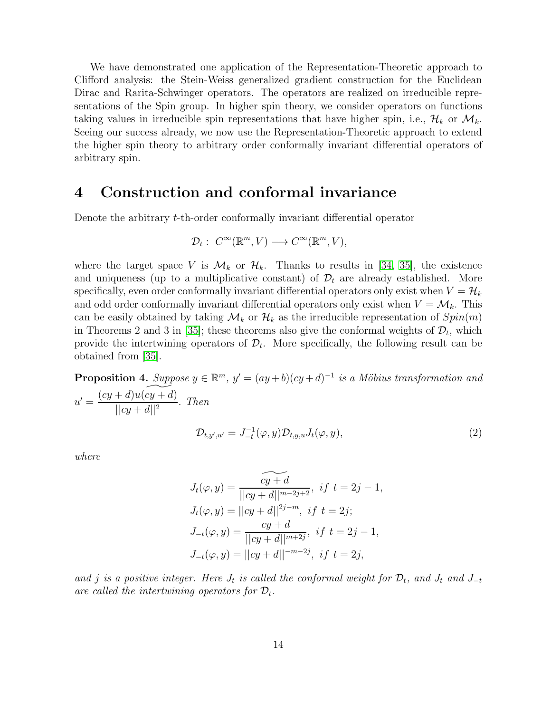We have demonstrated one application of the Representation-Theoretic approach to Clifford analysis: the Stein-Weiss generalized gradient construction for the Euclidean Dirac and Rarita-Schwinger operators. The operators are realized on irreducible representations of the Spin group. In higher spin theory, we consider operators on functions taking values in irreducible spin representations that have higher spin, i.e.,  $\mathcal{H}_k$  or  $\mathcal{M}_k$ . Seeing our success already, we now use the Representation-Theoretic approach to extend the higher spin theory to arbitrary order conformally invariant differential operators of arbitrary spin.

### 4 Construction and conformal invariance

Denote the arbitrary t-th-order conformally invariant differential operator

$$
\mathcal{D}_t: C^{\infty}(\mathbb{R}^m, V) \longrightarrow C^{\infty}(\mathbb{R}^m, V),
$$

where the target space V is  $\mathcal{M}_k$  or  $\mathcal{H}_k$ . Thanks to results in [\[34,](#page-33-1) [35\]](#page-33-2), the existence and uniqueness (up to a multiplicative constant) of  $\mathcal{D}_t$  are already established. More specifically, even order conformally invariant differential operators only exist when  $V = \mathcal{H}_k$ and odd order conformally invariant differential operators only exist when  $V = M_k$ . This can be easily obtained by taking  $\mathcal{M}_k$  or  $\mathcal{H}_k$  as the irreducible representation of  $Spin(m)$ in Theorems 2 and 3 in [\[35\]](#page-33-2); these theorems also give the conformal weights of  $\mathcal{D}_t$ , which provide the intertwining operators of  $\mathcal{D}_t$ . More specifically, the following result can be obtained from [\[35\]](#page-33-2).

<span id="page-13-0"></span>**Proposition 4.** Suppose  $y \in \mathbb{R}^m$ ,  $y' = (ay + b)(cy + d)^{-1}$  is a Möbius transformation and  $u' =$  $(cy + d)u(\widetilde{cy + d})$  $\frac{||cy - dy||^2}{||cy + d||^2}$ . Then

<span id="page-13-1"></span>
$$
\mathcal{D}_{t,y',u'} = J_{-t}^{-1}(\varphi, y)\mathcal{D}_{t,y,u}J_t(\varphi, y),\tag{2}
$$

where

$$
J_t(\varphi, y) = \frac{\widetilde{cy + d}}{||cy + d||^{m-2j+2}}, \text{ if } t = 2j - 1,
$$
  
\n
$$
J_t(\varphi, y) = ||cy + d||^{2j-m}, \text{ if } t = 2j;
$$
  
\n
$$
J_{-t}(\varphi, y) = \frac{cy + d}{||cy + d||^{m+2j}}, \text{ if } t = 2j - 1,
$$
  
\n
$$
J_{-t}(\varphi, y) = ||cy + d||^{-m-2j}, \text{ if } t = 2j,
$$

and j is a positive integer. Here  $J_t$  is called the conformal weight for  $\mathcal{D}_t$ , and  $J_t$  and  $J_{-t}$ are called the intertwining operators for  $\mathcal{D}_t$ .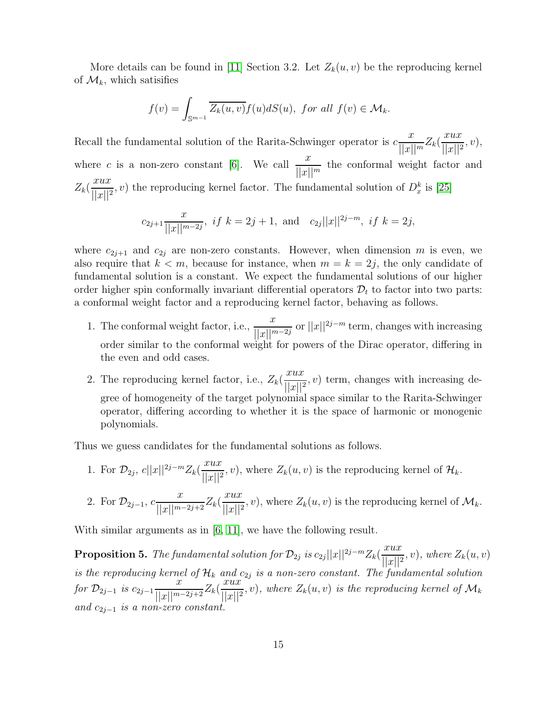More details can be found in [\[11\]](#page-32-3) Section 3.2. Let  $Z_k(u, v)$  be the reproducing kernel of  $\mathcal{M}_k$ , which satisifies

$$
f(v) = \int_{\mathbb{S}^{m-1}} \overline{Z_k(u,v)} f(u) dS(u), \text{ for all } f(v) \in \mathcal{M}_k.
$$

Recall the fundamental solution of the Rarita-Schwinger operator is  $c$  $\overline{x}$  $\frac{x}{\|x\|^m}Z_k($ xux  $\frac{\partial}{\partial |x||^2}, v),$ where c is a non-zero constant [\[6\]](#page-32-0). We call  $\frac{x}{1+x}$  $\frac{c}{||x||^m}$  the conformal weight factor and  $Z_k($ xux  $||x||^2$ , v) the reproducing kernel factor. The fundamental solution of  $D_x^k$  is [\[25\]](#page-33-7)

$$
c_{2j+1} \frac{x}{||x||^{m-2j}}
$$
, if  $k = 2j + 1$ , and  $c_{2j}||x||^{2j-m}$ , if  $k = 2j$ ,

where  $c_{2j+1}$  and  $c_{2j}$  are non-zero constants. However, when dimension m is even, we also require that  $k < m$ , because for instance, when  $m = k = 2j$ , the only candidate of fundamental solution is a constant. We expect the fundamental solutions of our higher order higher spin conformally invariant differential operators  $\mathcal{D}_t$  to factor into two parts: a conformal weight factor and a reproducing kernel factor, behaving as follows.

- 1. The conformal weight factor, i.e.,  $\frac{x}{1+1+x}$  $\frac{||x||^{m-2j}}{j}$ or  $||x||^{2j-m}$  term, changes with increasing order similar to the conformal weight for powers of the Dirac operator, differing in the even and odd cases.
- 2. The reproducing kernel factor, i.e.,  $Z_k$ xux  $||x||^2$  $, v)$  term, changes with increasing degree of homogeneity of the target polynomial space similar to the Rarita-Schwinger operator, differing according to whether it is the space of harmonic or monogenic polynomials.

Thus we guess candidates for the fundamental solutions as follows.

1. For  $\mathcal{D}_{2j}, c||x||^{2j-m}Z_k(\frac{xux}{||x||^2})$  $||x||^2$ , v), where  $Z_k(u, v)$  is the reproducing kernel of  $\mathcal{H}_k$ .

2. For 
$$
\mathcal{D}_{2j-1}
$$
,  $c \frac{x}{||x||^{m-2j+2}} Z_k(\frac{xux}{||x||^2}, v)$ , where  $Z_k(u, v)$  is the reproducing Kernel of  $\mathcal{M}_k$ .

With similar arguments as in [\[6,](#page-32-0) [11\]](#page-32-3), we have the following result.

<span id="page-14-0"></span>**Proposition 5.** The fundamental solution for  $\mathcal{D}_{2j}$  is  $c_{2j}||x||^{2j-m}Z_k(\frac{xux}{||x||^2})$  $\frac{||x||^2}{c}$  $(v)$ , where  $Z_k(u, v)$ is the reproducing kernel of  $\mathcal{H}_k$  and  $c_{2j}$  is a non-zero constant. The fundamental solution for  $\mathcal{D}_{2j-1}$  is  $c_{2j-1}$  $\overline{x}$  $\frac{c}{\|x\|^{m-2j+2}}Z_k($ xux  $||x||^2$  $(v, v)$ , where  $Z_k(u, v)$  is the reproducing kernel of  $\mathcal{M}_k$ and  $c_{2j-1}$  is a non-zero constant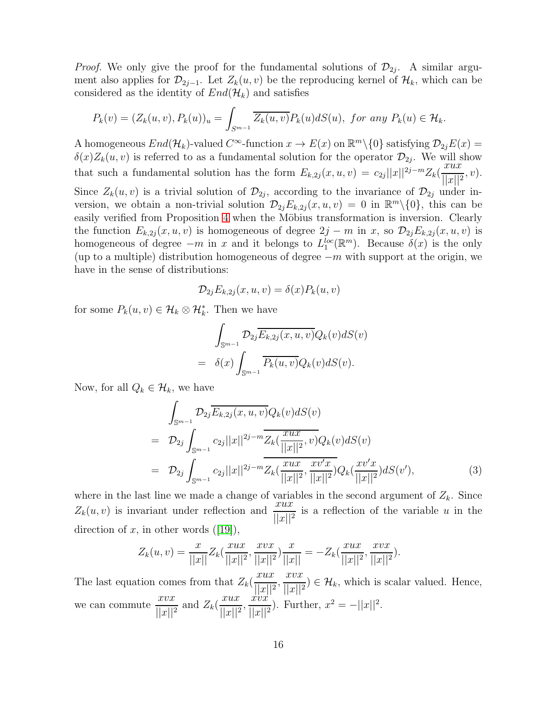*Proof.* We only give the proof for the fundamental solutions of  $\mathcal{D}_{2j}$ . A similar argument also applies for  $\mathcal{D}_{2j-1}$ . Let  $Z_k(u, v)$  be the reproducing kernel of  $\mathcal{H}_k$ , which can be considered as the identity of  $End(\mathcal{H}_k)$  and satisfies

$$
P_k(v) = (Z_k(u,v), P_k(u))_u = \int_{S^{m-1}} \overline{Z_k(u,v)} P_k(u) dS(u), \text{ for any } P_k(u) \in \mathcal{H}_k.
$$

A homogeneous  $End(\mathcal{H}_k)$ -valued  $C^{\infty}$ -function  $x \to E(x)$  on  $\mathbb{R}^m \setminus \{0\}$  satisfying  $\mathcal{D}_{2j}E(x) =$  $\delta(x)Z_k(u, v)$  is referred to as a fundamental solution for the operator  $\mathcal{D}_{2j}$ . We will show that such a fundamental solution has the form  $E_{k,2j}(x, u, v) = c_{2j} ||x||^{2j-m} Z_k(\frac{xux}{||x||^2})$  $\frac{\overline{w} \overline{w}}{||x||^2}, v).$ Since  $Z_k(u, v)$  is a trivial solution of  $\mathcal{D}_{2j}$ , according to the invariance of  $\mathcal{D}_{2j}$  under inversion, we obtain a non-trivial solution  $\mathcal{D}_{2j}E_{k,2j}(x,u,v) = 0$  in  $\mathbb{R}^m\setminus\{0\}$ , this can be easily verified from Proposition [4](#page-13-0) when the Möbius transformation is inversion. Clearly the function  $E_{k,2j}(x, u, v)$  is homogeneous of degree  $2j - m$  in x, so  $\mathcal{D}_{2j}E_{k,2j}(x, u, v)$  is homogeneous of degree  $-m$  in x and it belongs to  $L_1^{loc}(\mathbb{R}^m)$ . Because  $\delta(x)$  is the only (up to a multiple) distribution homogeneous of degree  $-m$  with support at the origin, we have in the sense of distributions:

$$
\mathcal{D}_{2j}E_{k,2j}(x,u,v)=\delta(x)P_k(u,v)
$$

for some  $P_k(u, v) \in \mathcal{H}_k \otimes \mathcal{H}_k^*$ . Then we have

$$
\int_{\mathbb{S}^{m-1}} \mathcal{D}_{2j} \overline{E_{k,2j}(x,u,v)} Q_k(v) dS(v)
$$

$$
= \delta(x) \int_{\mathbb{S}^{m-1}} \overline{P_k(u,v)} Q_k(v) dS(v).
$$

Now, for all  $Q_k \in \mathcal{H}_k$ , we have

<span id="page-15-0"></span>
$$
\int_{\mathbb{S}^{m-1}} \mathcal{D}_{2j} \overline{E_{k,2j}(x,u,v)} Q_k(v) dS(v)
$$
\n
$$
= \mathcal{D}_{2j} \int_{\mathbb{S}^{m-1}} c_{2j} ||x||^{2j-m} \overline{Z_k(\frac{xux}{||x||^2}, v)} Q_k(v) dS(v)
$$
\n
$$
= \mathcal{D}_{2j} \int_{\mathbb{S}^{m-1}} c_{2j} ||x||^{2j-m} \overline{Z_k(\frac{xux}{||x||^2}, \frac{xv'x}{||x||^2})} Q_k(\frac{xv'x}{||x||^2}) dS(v'), \tag{3}
$$

where in the last line we made a change of variables in the second argument of  $Z_k$ . Since  $Z_k(u, v)$  is invariant under reflection and  $\frac{xux}{1+1}$  $||x||^2$ is a reflection of the variable  $u$  in the directionof x, in other words  $([19]),$  $([19]),$  $([19]),$ 

$$
Z_k(u, v) = \frac{x}{||x||} Z_k(\frac{xux}{||x||^2}, \frac{xvx}{||x||^2}) \frac{x}{||x||} = -Z_k(\frac{xux}{||x||^2}, \frac{xvx}{||x||^2}).
$$

The last equation comes from that  $Z_k(\mathbf{r})$ xux  $\frac{||x||^2}{||x||^2}$ , xvx  $\frac{d^2}{||x||^2}$   $\in$   $\mathcal{H}_k$ , which is scalar valued. Hence, we can commute xvx  $||x||^2$ and  $Z_k($ xux  $||x||^2$ ,  $\dot{x}\ddot{v}\dot{x}$  $||x||^2$ ). Further,  $x^2 = -||x||^2$ .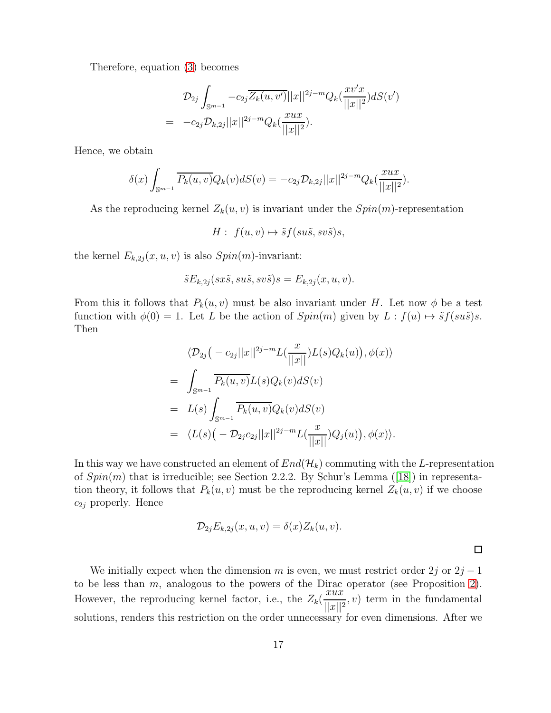Therefore, equation [\(3\)](#page-15-0) becomes

$$
\mathcal{D}_{2j} \int_{\mathbb{S}^{m-1}} -c_{2j} \overline{Z_k(u, v')} ||x||^{2j-m} Q_k(\frac{xv'x}{||x||^2}) dS(v')
$$
  
=  $-c_{2j} \mathcal{D}_{k,2j} ||x||^{2j-m} Q_k(\frac{xux}{||x||^2}).$ 

Hence, we obtain

$$
\delta(x) \int_{\mathbb{S}^{m-1}} \overline{P_k(u,v)} Q_k(v) dS(v) = -c_{2j} \mathcal{D}_{k,2j} ||x||^{2j-m} Q_k(\frac{xux}{||x||^2}).
$$

As the reproducing kernel  $Z_k(u, v)$  is invariant under the  $Spin(m)$ -representation

$$
H: f(u, v) \mapsto \tilde{s}f(su\tilde{s}, sv\tilde{s})s,
$$

the kernel  $E_{k,2j}(x, u, v)$  is also  $Spin(m)$ -invariant:

$$
\tilde{s}E_{k,2j}(sx\tilde{s},su\tilde{s},sv\tilde{s})s=E_{k,2j}(x,u,v).
$$

From this it follows that  $P_k(u, v)$  must be also invariant under H. Let now  $\phi$  be a test function with  $\phi(0) = 1$ . Let L be the action of  $Spin(m)$  given by  $L : f(u) \mapsto \tilde{s}f(su\tilde{s})s$ . Then

$$
\langle \mathcal{D}_{2j}(-c_{2j}||x||^{2j-m}L(\frac{x}{||x||})L(s)Q_k(u)), \phi(x) \rangle
$$
  
= 
$$
\int_{\mathbb{S}^{m-1}} \overline{P_k(u,v)}L(s)Q_k(v)dS(v)
$$
  
= 
$$
L(s)\int_{\mathbb{S}^{m-1}} \overline{P_k(u,v)}Q_k(v)dS(v)
$$
  
= 
$$
\langle L(s)(-\mathcal{D}_{2j}c_{2j}||x||^{2j-m}L(\frac{x}{||x||})Q_j(u)), \phi(x) \rangle.
$$

In this way we have constructed an element of  $End(\mathcal{H}_k)$  commuting with the L-representation of $Spin(m)$  that is irreducible; see Section 2.2.2. By Schur's Lemma ([\[18\]](#page-32-14)) in representation theory, it follows that  $P_k(u, v)$  must be the reproducing kernel  $Z_k(u, v)$  if we choose  $c_{2j}$  properly. Hence

$$
\mathcal{D}_{2j}E_{k,2j}(x,u,v)=\delta(x)Z_k(u,v).
$$

 $\Box$ 

We initially expect when the dimension m is even, we must restrict order 2j or  $2j - 1$ to be less than m, analogous to the powers of the Dirac operator (see Proposition [2\)](#page-6-1). However, the reproducing kernel factor, i.e., the  $Z_k$ xux  $||x||^2$  $, v)$  term in the fundamental solutions, renders this restriction on the order unnecessary for even dimensions. After we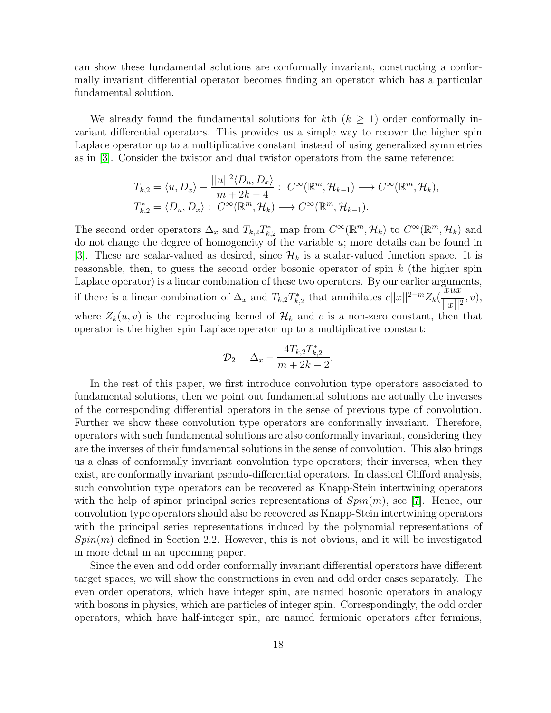can show these fundamental solutions are conformally invariant, constructing a conformally invariant differential operator becomes finding an operator which has a particular fundamental solution.

We already found the fundamental solutions for  $k\text{th } (k > 1)$  order conformally invariant differential operators. This provides us a simple way to recover the higher spin Laplace operator up to a multiplicative constant instead of using generalized symmetries as in [\[3\]](#page-31-0). Consider the twistor and dual twistor operators from the same reference:

$$
T_{k,2} = \langle u, D_x \rangle - \frac{||u||^2 \langle D_u, D_x \rangle}{m + 2k - 4} : C^{\infty}(\mathbb{R}^m, \mathcal{H}_{k-1}) \longrightarrow C^{\infty}(\mathbb{R}^m, \mathcal{H}_k),
$$
  

$$
T_{k,2}^* = \langle D_u, D_x \rangle : C^{\infty}(\mathbb{R}^m, \mathcal{H}_k) \longrightarrow C^{\infty}(\mathbb{R}^m, \mathcal{H}_{k-1}).
$$

The second order operators  $\Delta_x$  and  $T_{k,2}T_{k,2}^*$  map from  $C^{\infty}(\mathbb{R}^m,\mathcal{H}_k)$  to  $C^{\infty}(\mathbb{R}^m,\mathcal{H}_k)$  and do not change the degree of homogeneity of the variable u; more details can be found in [\[3\]](#page-31-0). These are scalar-valued as desired, since  $\mathcal{H}_k$  is a scalar-valued function space. It is reasonable, then, to guess the second order bosonic operator of spin  $k$  (the higher spin Laplace operator) is a linear combination of these two operators. By our earlier arguments, if there is a linear combination of  $\Delta_x$  and  $T_{k,2}T_{k,2}^*$  that annihilates  $c||x||^{2-m}Z_k(\frac{xux}{||x||^2})$  $\frac{\overline{w} \overline{w}}{||x||^2}, v),$ where  $Z_k(u, v)$  is the reproducing kernel of  $\mathcal{H}_k$  and c is a non-zero constant, then that operator is the higher spin Laplace operator up to a multiplicative constant:

$$
\mathcal{D}_2 = \Delta_x - \frac{4T_{k,2}T_{k,2}^*}{m + 2k - 2}.
$$

In the rest of this paper, we first introduce convolution type operators associated to fundamental solutions, then we point out fundamental solutions are actually the inverses of the corresponding differential operators in the sense of previous type of convolution. Further we show these convolution type operators are conformally invariant. Therefore, operators with such fundamental solutions are also conformally invariant, considering they are the inverses of their fundamental solutions in the sense of convolution. This also brings us a class of conformally invariant convolution type operators; their inverses, when they exist, are conformally invariant pseudo-differential operators. In classical Clifford analysis, such convolution type operators can be recovered as Knapp-Stein intertwining operators with the help of spinor principal series representations of  $Spin(m)$ , see [\[7\]](#page-32-5). Hence, our convolution type operators should also be recovered as Knapp-Stein intertwining operators with the principal series representations induced by the polynomial representations of  $Spin(m)$  defined in Section 2.2. However, this is not obvious, and it will be investigated in more detail in an upcoming paper.

Since the even and odd order conformally invariant differential operators have different target spaces, we will show the constructions in even and odd order cases separately. The even order operators, which have integer spin, are named bosonic operators in analogy with bosons in physics, which are particles of integer spin. Correspondingly, the odd order operators, which have half-integer spin, are named fermionic operators after fermions,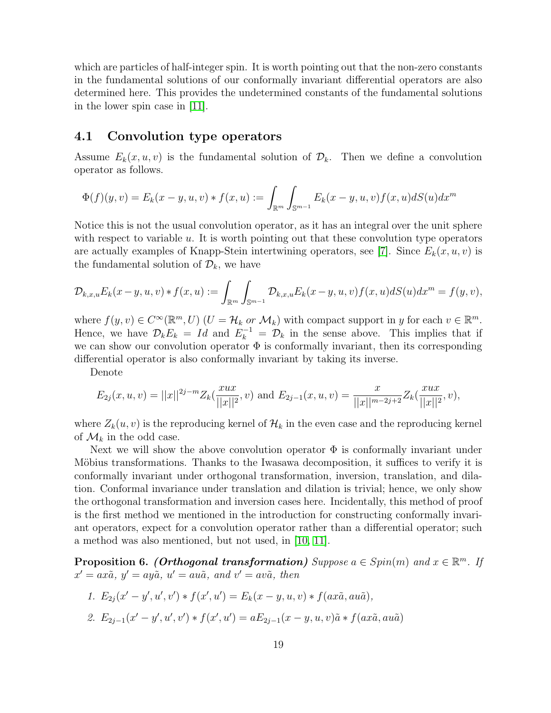which are particles of half-integer spin. It is worth pointing out that the non-zero constants in the fundamental solutions of our conformally invariant differential operators are also determined here. This provides the undetermined constants of the fundamental solutions in the lower spin case in [\[11\]](#page-32-3).

### 4.1 Convolution type operators

Assume  $E_k(x, u, v)$  is the fundamental solution of  $\mathcal{D}_k$ . Then we define a convolution operator as follows.

$$
\Phi(f)(y,v) = E_k(x - y, u, v) * f(x, u) := \int_{\mathbb{R}^m} \int_{\mathbb{S}^{m-1}} E_k(x - y, u, v) f(x, u) dS(u) dx^m
$$

Notice this is not the usual convolution operator, as it has an integral over the unit sphere with respect to variable  $u$ . It is worth pointing out that these convolution type operators are actually examples of Knapp-Stein intertwining operators, see [\[7\]](#page-32-5). Since  $E_k(x, u, v)$  is the fundamental solution of  $\mathcal{D}_k$ , we have

$$
\mathcal{D}_{k,x,u}E_k(x-y,u,v)*f(x,u):=\int_{\mathbb{R}^m}\int_{\mathbb{S}^{m-1}}\mathcal{D}_{k,x,u}E_k(x-y,u,v)f(x,u)dS(u)dx^m=f(y,v),
$$

where  $f(y, v) \in C^{\infty}(\mathbb{R}^m, U)$   $(U = H_k \text{ or } \mathcal{M}_k)$  with compact support in y for each  $v \in \mathbb{R}^m$ . Hence, we have  $\mathcal{D}_k E_k = Id$  and  $E_k^{-1} = \mathcal{D}_k$  in the sense above. This implies that if we can show our convolution operator  $\Phi$  is conformally invariant, then its corresponding differential operator is also conformally invariant by taking its inverse.

Denote

$$
E_{2j}(x, u, v) = ||x||^{2j-m} Z_k(\frac{xux}{||x||^2}, v) \text{ and } E_{2j-1}(x, u, v) = \frac{x}{||x||^{m-2j+2}} Z_k(\frac{xux}{||x||^2}, v),
$$

where  $Z_k(u, v)$  is the reproducing kernel of  $\mathcal{H}_k$  in the even case and the reproducing kernel of  $\mathcal{M}_k$  in the odd case.

Next we will show the above convolution operator  $\Phi$  is conformally invariant under Möbius transformations. Thanks to the Iwasawa decomposition, it suffices to verify it is conformally invariant under orthogonal transformation, inversion, translation, and dilation. Conformal invariance under translation and dilation is trivial; hence, we only show the orthogonal transformation and inversion cases here. Incidentally, this method of proof is the first method we mentioned in the introduction for constructing conformally invariant operators, expect for a convolution operator rather than a differential operator; such a method was also mentioned, but not used, in [\[10,](#page-32-4) [11\]](#page-32-3).

**Proposition 6.** (Orthogonal transformation) Suppose  $a \in Spin(m)$  and  $x \in \mathbb{R}^m$ . If  $x' = ax\tilde{a}, y' = ay\tilde{a}, u' = au\tilde{a}, and v' = av\tilde{a}, then$ 

1. 
$$
E_{2j}(x'-y',u',v') * f(x',u') = E_k(x-y,u,v) * f(ax\tilde{a},au\tilde{a}),
$$

2. 
$$
E_{2j-1}(x'-y',u',v') * f(x',u') = aE_{2j-1}(x-y,u,v)\tilde{a} * f(ax\tilde{a},au\tilde{a})
$$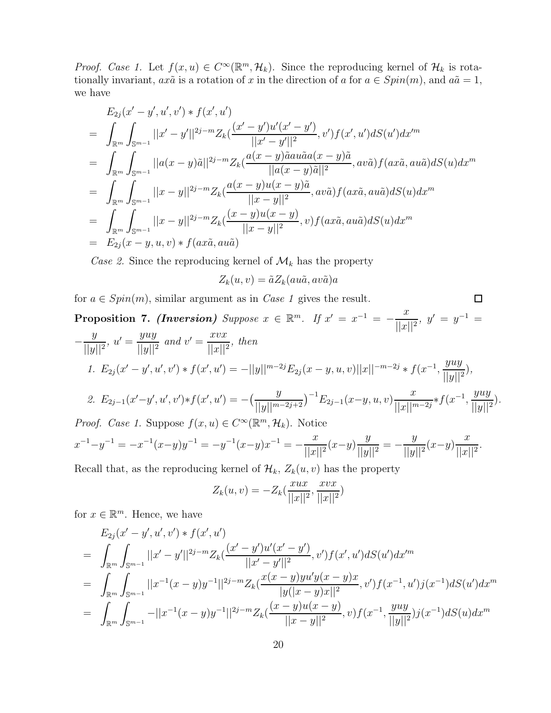*Proof. Case 1.* Let  $f(x, u) \in C^{\infty}(\mathbb{R}^m, \mathcal{H}_k)$ . Since the reproducing kernel of  $\mathcal{H}_k$  is rotationally invariant,  $ax\tilde{a}$  is a rotation of x in the direction of a for  $a \in Spin(m)$ , and  $a\tilde{a} = 1$ , we have

$$
E_{2j}(x'-y',u',v') * f(x',u')
$$
  
= 
$$
\int_{\mathbb{R}^m} \int_{\mathbb{S}^{m-1}} ||x'-y'||^{2j-m} Z_k(\frac{(x'-y')u'(x'-y')}{||x'-y'||^2}, v') f(x',u') dS(u') dx'^m
$$
  
= 
$$
\int_{\mathbb{R}^m} \int_{\mathbb{S}^{m-1}} ||a(x-y)\tilde{a}||^{2j-m} Z_k(\frac{a(x-y)\tilde{a}au\tilde{a}a(x-y)\tilde{a}}{||a(x-y)\tilde{a}||^2}, av\tilde{a}) f(ax\tilde{a}, au\tilde{a}) dS(u) dx^m
$$
  
= 
$$
\int_{\mathbb{R}^m} \int_{\mathbb{S}^{m-1}} ||x-y||^{2j-m} Z_k(\frac{a(x-y)u(x-y)\tilde{a}}{||x-y||^2}, av\tilde{a}) f(ax\tilde{a}, au\tilde{a}) dS(u) dx^m
$$
  
= 
$$
\int_{\mathbb{R}^m} \int_{\mathbb{S}^{m-1}} ||x-y||^{2j-m} Z_k(\frac{(x-y)u(x-y)}{||x-y||^2}, v) f(ax\tilde{a}, au\tilde{a}) dS(u) dx^m
$$
  
= 
$$
E_{2j}(x-y, u, v) * f(ax\tilde{a}, au\tilde{a})
$$

Case 2. Since the reproducing kernel of  $\mathcal{M}_k$  has the property

$$
Z_k(u, v) = \tilde{a} Z_k(au\tilde{a}, av\tilde{a})a
$$

 $\Box$ 

for  $a \in Spin(m)$ , similar argument as in *Case 1* gives the result.

**Proposition 7.** *(Inversion) Suppose* 
$$
x \in \mathbb{R}^m
$$
. *If*  $x' = x^{-1} = -\frac{x}{||x||^2}$ ,  $y' = y^{-1} = -\frac{y}{||y||^2}$ ,  $u' = \frac{yuy}{||y||^2}$  and  $v' = \frac{xvx}{||x||^2}$ , then  
\n*1.*  $E_{2j}(x' - y', u', v') * f(x', u') = -||y||^{m-2j}E_{2j}(x - y, u, v)||x||^{-m-2j} * f(x^{-1}, \frac{yuy}{||y||^2})$ ,  
\n*2.*  $E_{2j-1}(x'-y', u', v') * f(x', u') = -\left(\frac{y}{||y||^{m-2j+2}}\right)^{-1}E_{2j-1}(x-y, u, v)\frac{x}{||x||^{m-2j}} * f(x^{-1}, \frac{yuy}{||y||^2})$ .  
\n*Proof. Case 1.* Suppose  $f(x, u) \in C^\infty(\mathbb{R}^m, \mathcal{H}_k)$ . Notice  
\n $x^{-1} - y^{-1} = -x^{-1}(x-y)y^{-1} = -y^{-1}(x-y)x^{-1} = -\frac{x}{||x||^2}(x-y)\frac{y}{||y||^2} = -\frac{y}{||y||^2}(x-y)\frac{x}{||x||^2}$ .

Recall that, as the reproducing kernel of  $\mathcal{H}_k$ ,  $Z_k(u, v)$  has the property

$$
Z_k(u, v) = -Z_k(\frac{xux}{||x||^2}, \frac{xvx}{||x||^2})
$$

for  $x \in \mathbb{R}^m$ . Hence, we have

$$
E_{2j}(x'-y',u',v') * f(x',u')
$$
  
= 
$$
\int_{\mathbb{R}^m} \int_{\mathbb{S}^{m-1}} ||x'-y'||^{2j-m} Z_k(\frac{(x'-y')u'(x'-y')}{||x'-y'||^2}, v') f(x',u') dS(u') dx'''
$$
  
= 
$$
\int_{\mathbb{R}^m} \int_{\mathbb{S}^{m-1}} ||x^{-1}(x-y)y^{-1}||^{2j-m} Z_k(\frac{x(x-y)yu'y(x-y)x}{|y(|x-y)x||^2}, v') f(x^{-1},u') j(x^{-1}) dS(u') dx'''
$$
  
= 
$$
\int_{\mathbb{R}^m} \int_{\mathbb{S}^{m-1}} -||x^{-1}(x-y)y^{-1}||^{2j-m} Z_k(\frac{(x-y)u(x-y)}{||x-y||^2}, v) f(x^{-1}, \frac{yuy}{||y||^2}) j(x^{-1}) dS(u) dx'''
$$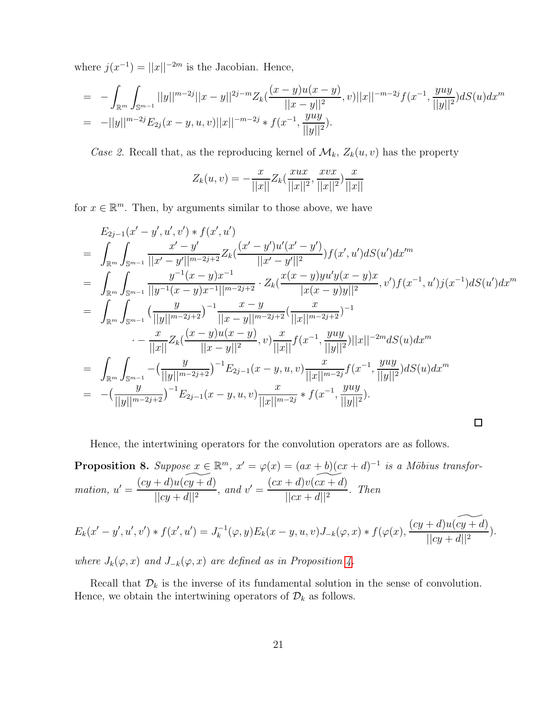where  $j(x^{-1}) = ||x||^{-2m}$  is the Jacobian. Hence,

$$
= - \int_{\mathbb{R}^m} \int_{\mathbb{S}^{m-1}} ||y||^{m-2j} ||x-y||^{2j-m} Z_k(\frac{(x-y)u(x-y)}{||x-y||^2}, v) ||x||^{-m-2j} f(x^{-1}, \frac{yuy}{||y||^2}) dS(u) dx^m
$$
  
=  $-||y||^{m-2j} E_{2j}(x-y, u, v) ||x||^{-m-2j} * f(x^{-1}, \frac{yuy}{||y||^2}).$ 

Case 2. Recall that, as the reproducing kernel of  $\mathcal{M}_k$ ,  $Z_k(u, v)$  has the property

$$
Z_k(u, v) = -\frac{x}{||x||} Z_k(\frac{xux}{||x||^2}, \frac{xvx}{||x||^2})\frac{x}{||x||}
$$

for  $x \in \mathbb{R}^m$ . Then, by arguments similar to those above, we have

$$
E_{2j-1}(x'-y',u',v') * f(x',u')
$$
\n
$$
= \int_{\mathbb{R}^m} \int_{\mathbb{S}^{m-1}} \frac{x'-y'}{||x'-y'||^{m-2j+2}} Z_k(\frac{(x'-y')u'(x'-y')}{||x'-y'||^2}) f(x',u') dS(u') dx'^m
$$
\n
$$
= \int_{\mathbb{R}^m} \int_{\mathbb{S}^{m-1}} \frac{y^{-1}(x-y)x^{-1}}{||y'(x-y)x^{-1}||^{m-2j+2}} \cdot Z_k(\frac{x(x-y)yu'y(x-y)x}{|x(x-y)y||^2}, v') f(x^{-1}, u') j(x^{-1}) dS(u') dx^m
$$
\n
$$
= \int_{\mathbb{R}^m} \int_{\mathbb{S}^{m-1}} \frac{y}{||y||^{m-2j+2}} \int_{\frac{y}{||x-y||^{m-2j+2}}}^{1} \frac{x}{||x||^{m-2j+2}} \cdot \frac{x}{||x||^{m-2j+2}} \int_{-1}^{-1}
$$
\n
$$
\cdot - \frac{x}{||x||} Z_k(\frac{(x-y)u(x-y)}{||x-y||^2}, v) \frac{x}{||x||} f(x^{-1}, \frac{yuy}{||y||^2}) ||x||^{-2m} dS(u) dx^m
$$
\n
$$
= \int_{\mathbb{R}^m} \int_{\mathbb{S}^{m-1}} -\left(\frac{y}{||y||^{m-2j+2}}\right)^{-1} E_{2j-1}(x-y, u, v) \frac{x}{||x||^{m-2j}} f(x^{-1}, \frac{yuy}{||y||^2}) dS(u) dx^m
$$
\n
$$
= -\left(\frac{y}{||y||^{m-2j+2}}\right)^{-1} E_{2j-1}(x-y, u, v) \frac{x}{||x||^{m-2j}} * f(x^{-1}, \frac{yuy}{||y||^2}).
$$

Hence, the intertwining operators for the convolution operators are as follows. **Proposition 8.** Suppose  $x \in \mathbb{R}^m$ ,  $x' = \varphi(x) = (ax + b)(cx + d)^{-1}$  is a Möbius transfor $mation, u' =$  $(cy + d)u(\widetilde{cy + d})$  $||cy + d||^2$  $, and v' =$  $(cx + d)v(\widetilde{cx + d})$  $\frac{|x| \cos \left(\frac{\pi}{2} + \alpha\right)}{||cx + d||^2}$ . Then

$$
E_k(x'-y',u',v') * f(x',u') = J_k^{-1}(\varphi,y)E_k(x-y,u,v)J_{-k}(\varphi,x) * f(\varphi(x),\frac{(cy+d)u(cy+d)}{||cy+d||^2}).
$$

where  $J_k(\varphi, x)$  and  $J_{-k}(\varphi, x)$  are defined as in Proposition [4.](#page-13-0)

Recall that  $\mathcal{D}_k$  is the inverse of its fundamental solution in the sense of convolution. Hence, we obtain the intertwining operators of  $\mathcal{D}_k$  as follows.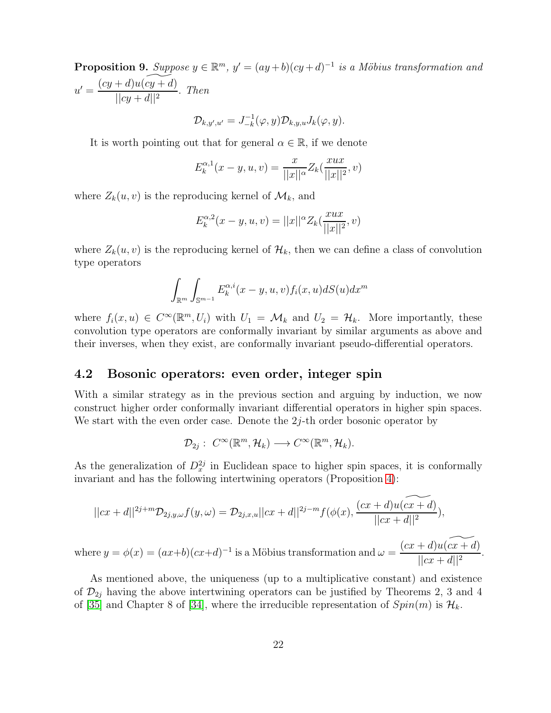**Proposition 9.** Suppose  $y \in \mathbb{R}^m$ ,  $y' = (ay + b)(cy + d)^{-1}$  is a Möbius transformation and  $u' =$  $(cy + d)u(\widetilde{cy + d})$  $||cy + d||^2$ . Then

$$
\mathcal{D}_{k,y',u'}=J_{-k}^{-1}(\varphi,y)\mathcal{D}_{k,y,u}J_k(\varphi,y).
$$

It is worth pointing out that for general  $\alpha \in \mathbb{R}$ , if we denote

$$
E_k^{\alpha,1}(x - y, u, v) = \frac{x}{||x||^{\alpha}} Z_k(\frac{xux}{||x||^2}, v)
$$

where  $Z_k(u, v)$  is the reproducing kernel of  $\mathcal{M}_k$ , and

$$
E_k^{\alpha,2}(x - y, u, v) = ||x||^{\alpha} Z_k(\frac{xux}{||x||^2}, v)
$$

where  $Z_k(u, v)$  is the reproducing kernel of  $\mathcal{H}_k$ , then we can define a class of convolution type operators

$$
\int_{\mathbb{R}^m} \int_{\mathbb{S}^{m-1}} E_k^{\alpha,i}(x-y,u,v) f_i(x,u) dS(u) dx^m
$$

where  $f_i(x, u) \in C^{\infty}(\mathbb{R}^m, U_i)$  with  $U_1 = \mathcal{M}_k$  and  $U_2 = \mathcal{H}_k$ . More importantly, these convolution type operators are conformally invariant by similar arguments as above and their inverses, when they exist, are conformally invariant pseudo-differential operators.

### 4.2 Bosonic operators: even order, integer spin

With a similar strategy as in the previous section and arguing by induction, we now construct higher order conformally invariant differential operators in higher spin spaces. We start with the even order case. Denote the  $2j$ -th order bosonic operator by

$$
\mathcal{D}_{2j}: C^{\infty}(\mathbb{R}^m, \mathcal{H}_k) \longrightarrow C^{\infty}(\mathbb{R}^m, \mathcal{H}_k).
$$

As the generalization of  $D_x^{2j}$  in Euclidean space to higher spin spaces, it is conformally invariant and has the following intertwining operators (Proposition [4\)](#page-13-0):

$$
||cx+d||^{2j+m}D_{2j,y,\omega}f(y,\omega)=D_{2j,x,u}||cx+d||^{2j-m}f(\phi(x),\frac{(cx+d)u(cx+d)}{||cx+d||^2}),
$$

where  $y = \phi(x) = (ax+b)(cx+d)^{-1}$  is a Möbius transformation and  $\omega =$  $(cx + d)u(\widetilde{cx + d})$  $\frac{|dx|}{||cx+d||^2}$ .

As mentioned above, the uniqueness (up to a multiplicative constant) and existence of  $\mathcal{D}_{2j}$  having the above intertwining operators can be justified by Theorems 2, 3 and 4 of [\[35\]](#page-33-2) and Chapter 8 of [\[34\]](#page-33-1), where the irreducible representation of  $Spin(m)$  is  $\mathcal{H}_k$ .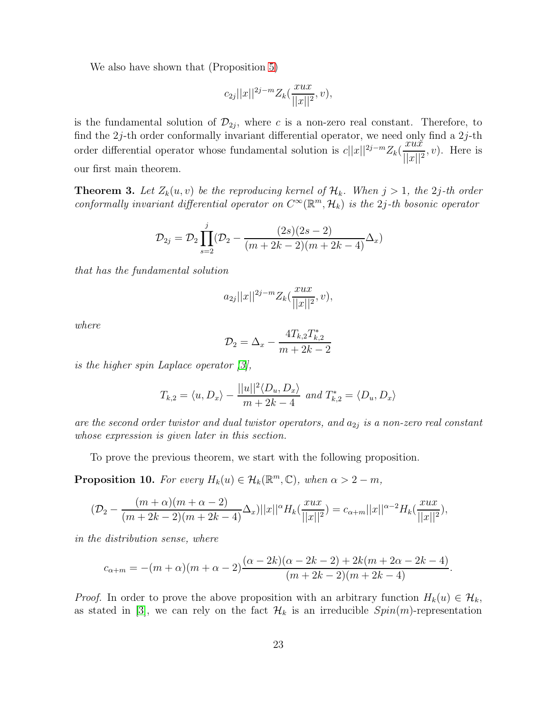We also have shown that (Proposition [5\)](#page-14-0)

$$
c_{2j}||x||^{2j-m}Z_k(\frac{xux}{||x||^2},v),
$$

is the fundamental solution of  $\mathcal{D}_{2j}$ , where c is a non-zero real constant. Therefore, to find the  $2j$ -th order conformally invariant differential operator, we need only find a  $2j$ -th order differential operator whose fundamental solution is  $c||x||^{2j-m}Z_k(\frac{xux}{||x||^2})$  $||x||^2$  $, v$ ). Here is our first main theorem.

<span id="page-22-1"></span>**Theorem 3.** Let  $Z_k(u, v)$  be the reproducing kernel of  $\mathcal{H}_k$ . When  $j > 1$ , the 2j-th order conformally invariant differential operator on  $C^{\infty}(\mathbb{R}^m,\mathcal{H}_k)$  is the 2j-th bosonic operator

$$
\mathcal{D}_{2j} = \mathcal{D}_2 \prod_{s=2}^{j} (\mathcal{D}_2 - \frac{(2s)(2s-2)}{(m+2k-2)(m+2k-4)} \Delta_x)
$$

that has the fundamental solution

$$
a_{2j}||x||^{2j-m}Z_k(\frac{xux}{||x||^2},v),
$$

where

$$
\mathcal{D}_2 = \Delta_x - \frac{4T_{k,2}T_{k,2}^*}{m + 2k - 2}
$$

is the higher spin Laplace operator  $\beta$ ,

$$
T_{k,2} = \langle u, D_x \rangle - \frac{||u||^2 \langle D_u, D_x \rangle}{m + 2k - 4} \text{ and } T_{k,2}^* = \langle D_u, D_x \rangle
$$

are the second order twistor and dual twistor operators, and  $a_{2j}$  is a non-zero real constant whose expression is given later in this section.

To prove the previous theorem, we start with the following proposition.

<span id="page-22-0"></span>**Proposition 10.** For every  $H_k(u) \in \mathcal{H}_k(\mathbb{R}^m, \mathbb{C})$ , when  $\alpha > 2 - m$ ,

$$
(\mathcal{D}_2 - \frac{(m+\alpha)(m+\alpha-2)}{(m+2k-2)(m+2k-4)}\Delta_x)||x||^{\alpha}H_k(\frac{xux}{||x||^2}) = c_{\alpha+m}||x||^{\alpha-2}H_k(\frac{xux}{||x||^2}),
$$

in the distribution sense, where

$$
c_{\alpha+m} = -(m+\alpha)(m+\alpha-2)\frac{(\alpha-2k)(\alpha-2k-2)+2k(m+2\alpha-2k-4)}{(m+2k-2)(m+2k-4)}.
$$

*Proof.* In order to prove the above proposition with an arbitrary function  $H_k(u) \in \mathcal{H}_k$ , as stated in [\[3\]](#page-31-0), we can rely on the fact  $\mathcal{H}_k$  is an irreducible  $Spin(m)$ -representation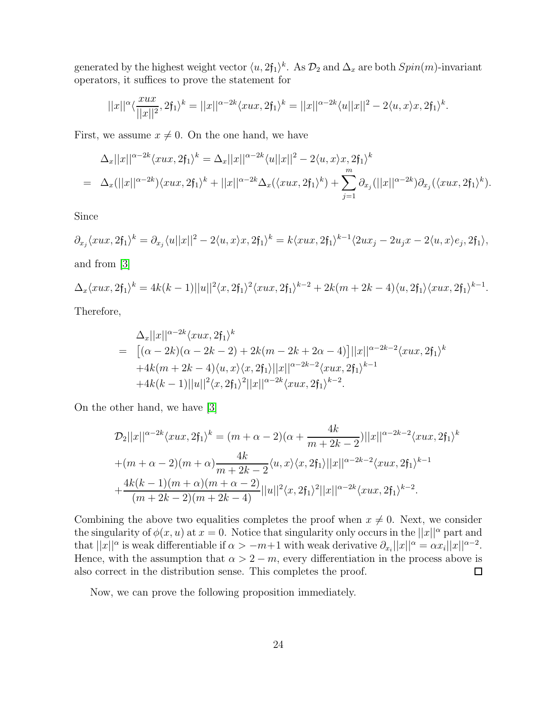generated by the highest weight vector  $\langle u, 2f_1 \rangle^k$ . As  $\mathcal{D}_2$  and  $\Delta_x$  are both  $Spin(m)$ -invariant operators, it suffices to prove the statement for

$$
||x||^{\alpha}\langle \frac{xux}{||x||^2}, 2\mathfrak{f}_1\rangle^k = ||x||^{\alpha-2k}\langle xux, 2\mathfrak{f}_1\rangle^k = ||x||^{\alpha-2k}\langle u||x||^2 - 2\langle u, x\rangle x, 2\mathfrak{f}_1\rangle^k.
$$

First, we assume  $x \neq 0$ . On the one hand, we have

$$
\Delta_x||x||^{\alpha-2k}\langle xux,2\mathfrak{f}_1\rangle^k = \Delta_x||x||^{\alpha-2k}\langle u||x||^2 - 2\langle u,x\rangle x,2\mathfrak{f}_1\rangle^k
$$
  
= 
$$
\Delta_x(||x||^{\alpha-2k})\langle xux,2\mathfrak{f}_1\rangle^k + ||x||^{\alpha-2k}\Delta_x(\langle xux,2\mathfrak{f}_1\rangle^k) + \sum_{j=1}^m \partial_{x_j}(||x||^{\alpha-2k})\partial_{x_j}(\langle xux,2\mathfrak{f}_1\rangle^k).
$$

Since

$$
\partial_{x_j} \langle xux, 2\mathfrak{f}_1 \rangle^k = \partial_{x_j} \langle u||x||^2 - 2\langle u, x \rangle x, 2\mathfrak{f}_1 \rangle^k = k \langle xux, 2\mathfrak{f}_1 \rangle^{k-1} \langle 2ux_j - 2u_jx - 2\langle u, x \rangle e_j, 2\mathfrak{f}_1 \rangle,
$$
  
and from [3]  

$$
\Delta_x \langle xux, 2\mathfrak{f}_1 \rangle^k = 4k(k-1)||u||^2 \langle x, 2\mathfrak{f}_1 \rangle^2 \langle xux, 2\mathfrak{f}_1 \rangle^{k-2} + 2k(m+2k-4)\langle u, 2\mathfrak{f}_1 \rangle \langle xux, 2\mathfrak{f}_1 \rangle^{k-1}.
$$

Therefore,

$$
\Delta_x ||x||^{\alpha-2k} \langle xux, 2\mathfrak{f}_1 \rangle^k
$$
\n
$$
= [(\alpha - 2k)(\alpha - 2k - 2) + 2k(m - 2k + 2\alpha - 4)] ||x||^{\alpha-2k-2} \langle xux, 2\mathfrak{f}_1 \rangle^k
$$
\n
$$
+ 4k(m + 2k - 4) \langle u, x \rangle \langle x, 2\mathfrak{f}_1 \rangle ||x||^{\alpha-2k-2} \langle xux, 2\mathfrak{f}_1 \rangle^{k-1}
$$
\n
$$
+ 4k(k - 1) ||u||^2 \langle x, 2\mathfrak{f}_1 \rangle^2 ||x||^{\alpha-2k} \langle xux, 2\mathfrak{f}_1 \rangle^{k-2}.
$$

On the other hand, we have [\[3\]](#page-31-0)

$$
\mathcal{D}_2||x||^{\alpha-2k}\langle xux,2\mathfrak{f}_1\rangle^k = (m+\alpha-2)(\alpha+\frac{4k}{m+2k-2})||x||^{\alpha-2k-2}\langle xux,2\mathfrak{f}_1\rangle^k
$$
  
 
$$
+(m+\alpha-2)(m+\alpha)\frac{4k}{m+2k-2}\langle u,x\rangle\langle x,2\mathfrak{f}_1\rangle||x||^{\alpha-2k-2}\langle xux,2\mathfrak{f}_1\rangle^{k-1}
$$
  
 
$$
+\frac{4k(k-1)(m+\alpha)(m+\alpha-2)}{(m+2k-2)(m+2k-4)}||u||^2\langle x,2\mathfrak{f}_1\rangle^2||x||^{\alpha-2k}\langle xux,2\mathfrak{f}_1\rangle^{k-2}.
$$

Combining the above two equalities completes the proof when  $x \neq 0$ . Next, we consider the singularity of  $\phi(x, u)$  at  $x = 0$ . Notice that singularity only occurs in the  $||x||^{\alpha}$  part and that  $||x||^{\alpha}$  is weak differentiable if  $\alpha > -m+1$  with weak derivative  $\partial_{x_i}||x||^{\alpha} = \alpha x_i ||x||^{\alpha-2}$ . Hence, with the assumption that  $\alpha > 2 - m$ , every differentiation in the process above is also correct in the distribution sense. This completes the proof. also correct in the distribution sense. This completes the proof.

Now, we can prove the following proposition immediately.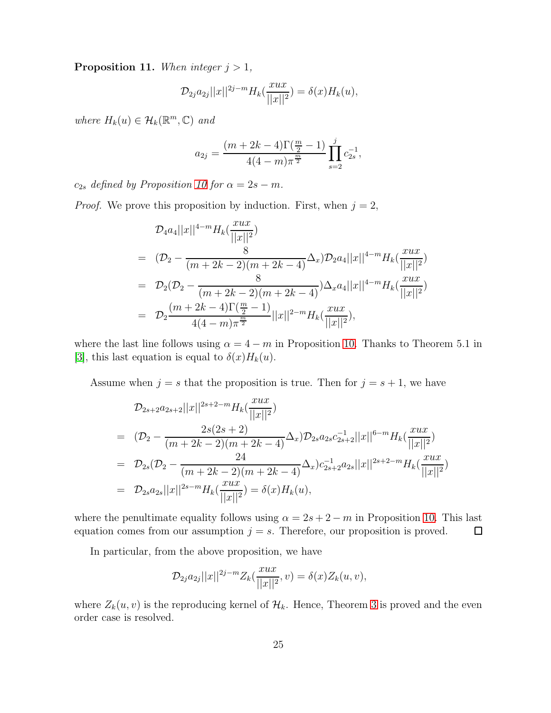<span id="page-24-0"></span>**Proposition 11.** When integer  $j > 1$ ,

$$
\mathcal{D}_{2j}a_{2j}||x||^{2j-m}H_k(\frac{xux}{||x||^2}) = \delta(x)H_k(u),
$$

where  $H_k(u) \in \mathcal{H}_k(\mathbb{R}^m, \mathbb{C})$  and

$$
a_{2j} = \frac{(m+2k-4)\Gamma(\frac{m}{2}-1)}{4(4-m)\pi^{\frac{m}{2}}} \prod_{s=2}^{j} c_{2s}^{-1},
$$

 $c_{2s}$  defined by Proposition [10](#page-22-0) for  $\alpha = 2s - m$ .

*Proof.* We prove this proposition by induction. First, when  $j = 2$ ,

$$
\mathcal{D}_4 a_4 ||x||^{4-m} H_k(\frac{xux}{||x||^2})
$$
\n
$$
= (\mathcal{D}_2 - \frac{8}{(m+2k-2)(m+2k-4)} \Delta_x) \mathcal{D}_2 a_4 ||x||^{4-m} H_k(\frac{xux}{||x||^2})
$$
\n
$$
= \mathcal{D}_2(\mathcal{D}_2 - \frac{8}{(m+2k-2)(m+2k-4)}) \Delta_x a_4 ||x||^{4-m} H_k(\frac{xux}{||x||^2})
$$
\n
$$
= \mathcal{D}_2 \frac{(m+2k-4)\Gamma(\frac{m}{2}-1)}{4(4-m)\pi^{\frac{m}{2}}} ||x||^{2-m} H_k(\frac{xux}{||x||^2}),
$$

where the last line follows using  $\alpha = 4 - m$  in Proposition [10.](#page-22-0) Thanks to Theorem 5.1 in [\[3\]](#page-31-0), this last equation is equal to  $\delta(x)H_k(u)$ .

Assume when  $j = s$  that the proposition is true. Then for  $j = s + 1$ , we have

$$
\mathcal{D}_{2s+2}a_{2s+2}||x||^{2s+2-m}H_k(\frac{xux}{||x||^2})
$$
\n
$$
= (\mathcal{D}_2 - \frac{2s(2s+2)}{(m+2k-2)(m+2k-4)}\Delta_x)\mathcal{D}_{2s}a_{2s}c_{2s+2}^{-1}||x||^{6-m}H_k(\frac{xux}{||x||^2})
$$
\n
$$
= \mathcal{D}_{2s}(\mathcal{D}_2 - \frac{24}{(m+2k-2)(m+2k-4)}\Delta_x)c_{2s+2}^{-1}a_{2s}||x||^{2s+2-m}H_k(\frac{xux}{||x||^2})
$$
\n
$$
= \mathcal{D}_{2s}a_{2s}||x||^{2s-m}H_k(\frac{xux}{||x||^2}) = \delta(x)H_k(u),
$$

where the penultimate equality follows using  $\alpha = 2s + 2 - m$  in Proposition [10.](#page-22-0) This last equation comes from our assumption  $j = s$ . Therefore, our proposition is proved. equation comes from our assumption  $j = s$ . Therefore, our proposition is proved.

In particular, from the above proposition, we have

$$
\mathcal{D}_{2j}a_{2j}||x||^{2j-m}Z_{k}(\frac{xux}{||x||^{2}},v)=\delta(x)Z_{k}(u,v),
$$

where  $Z_k(u, v)$  is the reproducing kernel of  $\mathcal{H}_k$ . Hence, Theorem [3](#page-22-1) is proved and the even order case is resolved.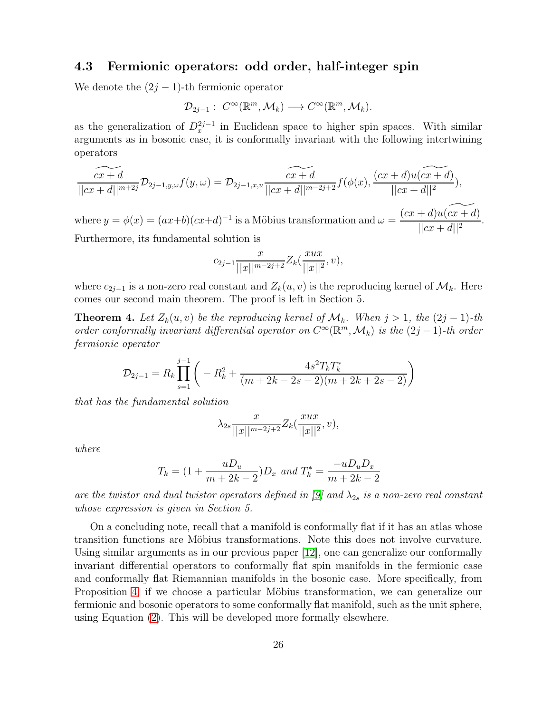### 4.3 Fermionic operators: odd order, half-integer spin

We denote the  $(2j - 1)$ -th fermionic operator

$$
\mathcal{D}_{2j-1}: C^{\infty}(\mathbb{R}^m,\mathcal{M}_k)\longrightarrow C^{\infty}(\mathbb{R}^m,\mathcal{M}_k).
$$

as the generalization of  $D_x^{2j-1}$  in Euclidean space to higher spin spaces. With similar arguments as in bosonic case, it is conformally invariant with the following intertwining operators

$$
\widetilde{\frac{cx+d}{||cx+d||^{m+2j}}}\mathcal{D}_{2j-1,y,\omega}f(y,\omega)=\mathcal{D}_{2j-1,x,u}\frac{\widetilde{cx+d}}{||cx+d||^{m-2j+2}}f(\phi(x),\frac{(cx+d)u(\widetilde{cx+d})}{||cx+d||^{2}}),
$$

where  $y = \phi(x) = (ax+b)(cx+d)^{-1}$  is a Möbius transformation and  $\omega =$  $(cx + d)u(\widetilde{cx + d})$  $\frac{|dx|}{||cx+d||^2}$ . Furthermore, its fundamental solution is

$$
c_{2j-1} \frac{x}{||x||^{m-2j+2}} Z_k(\frac{xux}{||x||^2}, v),
$$

where  $c_{2j-1}$  is a non-zero real constant and  $Z_k(u, v)$  is the reproducing kernel of  $\mathcal{M}_k$ . Here comes our second main theorem. The proof is left in Section 5.

<span id="page-25-0"></span>**Theorem 4.** Let  $Z_k(u, v)$  be the reproducing kernel of  $\mathcal{M}_k$ . When  $j > 1$ , the  $(2j - 1)$ -th order conformally invariant differential operator on  $C^{\infty}(\mathbb{R}^m, \mathcal{M}_k)$  is the  $(2j-1)$ -th order fermionic operator

$$
\mathcal{D}_{2j-1} = R_k \prod_{s=1}^{j-1} \left( -R_k^2 + \frac{4s^2 T_k T_k^*}{(m+2k-2s-2)(m+2k+2s-2)} \right)
$$

that has the fundamental solution

$$
\lambda_{2s} \frac{x}{||x||^{m-2j+2}} Z_k(\frac{xux}{||x||^2}, v),
$$

where

$$
T_k = (1 + \frac{uD_u}{m + 2k - 2})D_x \text{ and } T_k^* = \frac{-uD_uD_x}{m + 2k - 2}
$$

are the twistor and dual twistor operators defined in [\[9\]](#page-32-8) and  $\lambda_{2s}$  is a non-zero real constant whose expression is given in Section 5.

On a concluding note, recall that a manifold is conformally flat if it has an atlas whose transition functions are Möbius transformations. Note this does not involve curvature. Using similar arguments as in our previous paper [\[12\]](#page-32-15), one can generalize our conformally invariant differential operators to conformally flat spin manifolds in the fermionic case and conformally flat Riemannian manifolds in the bosonic case. More specifically, from Proposition [4,](#page-13-0) if we choose a particular Möbius transformation, we can generalize our fermionic and bosonic operators to some conformally flat manifold, such as the unit sphere, using Equation [\(2\)](#page-13-1). This will be developed more formally elsewhere.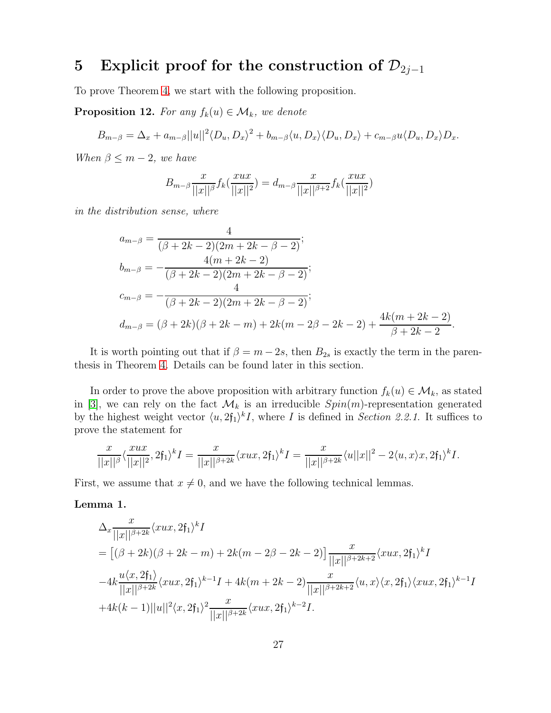# 5 Explicit proof for the construction of  $\mathcal{D}_{2j-1}$

To prove Theorem [4,](#page-25-0) we start with the following proposition.

<span id="page-26-1"></span>**Proposition 12.** For any  $f_k(u) \in \mathcal{M}_k$ , we denote

$$
B_{m-\beta} = \Delta_x + a_{m-\beta} ||u||^2 \langle D_u, D_x \rangle^2 + b_{m-\beta} \langle u, D_x \rangle \langle D_u, D_x \rangle + c_{m-\beta} u \langle D_u, D_x \rangle D_x.
$$

When  $\beta \leq m-2$ , we have

$$
B_{m-\beta} \frac{x}{||x||^{\beta}} f_k(\frac{xux}{||x||^2}) = d_{m-\beta} \frac{x}{||x||^{\beta+2}} f_k(\frac{xux}{||x||^2})
$$

in the distribution sense, where

$$
a_{m-\beta} = \frac{4}{(\beta + 2k - 2)(2m + 2k - \beta - 2)};
$$
  
\n
$$
b_{m-\beta} = -\frac{4(m + 2k - 2)}{(\beta + 2k - 2)(2m + 2k - \beta - 2)};
$$
  
\n
$$
c_{m-\beta} = -\frac{4}{(\beta + 2k - 2)(2m + 2k - \beta - 2)};
$$
  
\n
$$
d_{m-\beta} = (\beta + 2k)(\beta + 2k - m) + 2k(m - 2\beta - 2k - 2) + \frac{4k(m + 2k - 2)}{\beta + 2k - 2}.
$$

It is worth pointing out that if  $\beta = m - 2s$ , then  $B_{2s}$  is exactly the term in the parenthesis in Theorem [4.](#page-25-0) Details can be found later in this section.

In order to prove the above proposition with arbitrary function  $f_k(u) \in \mathcal{M}_k$ , as stated in [\[3\]](#page-31-0), we can rely on the fact  $\mathcal{M}_k$  is an irreducible  $Spin(m)$ -representation generated by the highest weight vector  $\langle u, 2f_1 \rangle^k I$ , where I is defined in Section 2.2.1. It suffices to prove the statement for

$$
\frac{x}{||x||^{\beta}}\langle \frac{xux}{||x||^2},2\mathfrak{f}_1\rangle^k I = \frac{x}{||x||^{\beta+2k}}\langle xux,2\mathfrak{f}_1\rangle^k I = \frac{x}{||x||^{\beta+2k}}\langle u||x||^2 - 2\langle u,x\rangle x,2\mathfrak{f}_1\rangle^k I.
$$

First, we assume that  $x \neq 0$ , and we have the following technical lemmas.

### <span id="page-26-0"></span>Lemma 1.

$$
\Delta_x \frac{x}{||x||^{\beta+2k}} \langle xux, 2f_1 \rangle^k I
$$
\n
$$
= [(\beta+2k)(\beta+2k-m)+2k(m-2\beta-2k-2)] \frac{x}{||x||^{\beta+2k+2}} \langle xux, 2f_1 \rangle^k I
$$
\n
$$
-4k \frac{u\langle x, 2f_1 \rangle}{||x||^{\beta+2k}} \langle xux, 2f_1 \rangle^{k-1} I + 4k(m+2k-2) \frac{x}{||x||^{\beta+2k+2}} \langle u, x \rangle \langle x, 2f_1 \rangle \langle xux, 2f_1 \rangle^{k-1} I
$$
\n
$$
+4k(k-1)||u||^2 \langle x, 2f_1 \rangle^2 \frac{x}{||x||^{\beta+2k}} \langle xux, 2f_1 \rangle^{k-2} I.
$$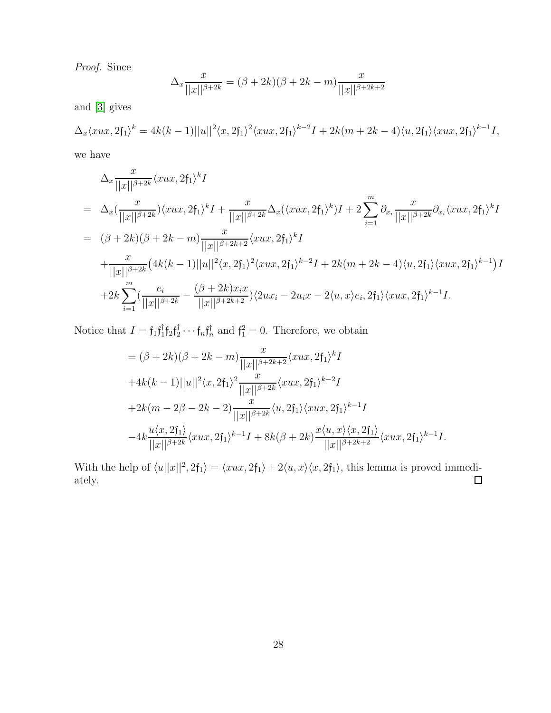Proof. Since

$$
\Delta_x \frac{x}{||x||^{\beta+2k}} = (\beta+2k)(\beta+2k-m)\frac{x}{||x||^{\beta+2k+2}}
$$

and [\[3\]](#page-31-0) gives

 $\Delta_x \langle xux, 2\mathfrak{f}_1 \rangle^k = 4k(k-1)||u||^2 \langle x, 2\mathfrak{f}_1 \rangle^2 \langle xux, 2\mathfrak{f}_1 \rangle^{k-2}I + 2k(m+2k-4)\langle u, 2\mathfrak{f}_1 \rangle \langle xux, 2\mathfrak{f}_1 \rangle^{k-1}I,$ 

we have

$$
\Delta_x \frac{x}{||x||^{\beta+2k}} \langle xux, 2f_1 \rangle^k I
$$
\n
$$
= \Delta_x (\frac{x}{||x||^{\beta+2k}}) \langle xux, 2f_1 \rangle^k I + \frac{x}{||x||^{\beta+2k}} \Delta_x (\langle xux, 2f_1 \rangle^k) I + 2 \sum_{i=1}^m \partial_{x_i} \frac{x}{||x||^{\beta+2k}} \partial_{x_i} \langle xux, 2f_1 \rangle^k I
$$
\n
$$
= (\beta + 2k)(\beta + 2k - m) \frac{x}{||x||^{\beta+2k+2}} \langle xux, 2f_1 \rangle^k I
$$
\n
$$
+ \frac{x}{||x||^{\beta+2k}} \Big( 4k(k-1) ||u||^2 \langle x, 2f_1 \rangle^2 \langle xux, 2f_1 \rangle^{k-2} I + 2k(m+2k-4) \langle u, 2f_1 \rangle \langle xux, 2f_1 \rangle^{k-1} \Big) I
$$
\n
$$
+ 2k \sum_{i=1}^m \Big( \frac{e_i}{||x||^{\beta+2k}} - \frac{(\beta + 2k)x_i x}{||x||^{\beta+2k+2}} \Big) \langle 2ux_i - 2u_i x - 2 \langle u, x \rangle e_i, 2f_1 \rangle \langle xux, 2f_1 \rangle^{k-1} I.
$$

Notice that  $I = \mathfrak{f}_1 \mathfrak{f}_1^{\dagger}$  $_{1}^{\dagger }\mathfrak{f}_{2}\mathfrak{f}_{2}^{\dagger }$  $\mathbf{f}_1^{\dagger} \cdots \mathbf{f}_n \mathbf{f}_n^{\dagger}$  and  $\mathbf{f}_1^2 = 0$ . Therefore, we obtain

$$
= (\beta + 2k)(\beta + 2k - m) \frac{x}{||x||^{\beta + 2k + 2}} \langle xux, 2f_1 \rangle^k I
$$
  
+4k(k-1)||u||^2 \langle x, 2f\_1 \rangle^2 \frac{x}{||x||^{\beta + 2k}} \langle xux, 2f\_1 \rangle^{k-2} I  
+2k(m-2\beta - 2k - 2) \frac{x}{||x||^{\beta + 2k}} \langle u, 2f\_1 \rangle \langle xux, 2f\_1 \rangle^{k-1} I  
-4k \frac{u \langle x, 2f\_1 \rangle}{||x||^{\beta + 2k}} \langle xux, 2f\_1 \rangle^{k-1} I + 8k(\beta + 2k) \frac{x \langle u, x \rangle \langle x, 2f\_1 \rangle}{||x||^{\beta + 2k + 2}} \langle xux, 2f\_1 \rangle^{k-1} I.

With the help of  $\langle u||x||^2, 2f_1 \rangle = \langle xux, 2f_1 \rangle + 2\langle u, x \rangle \langle x, 2f_1 \rangle$ , this lemma is proved immediately.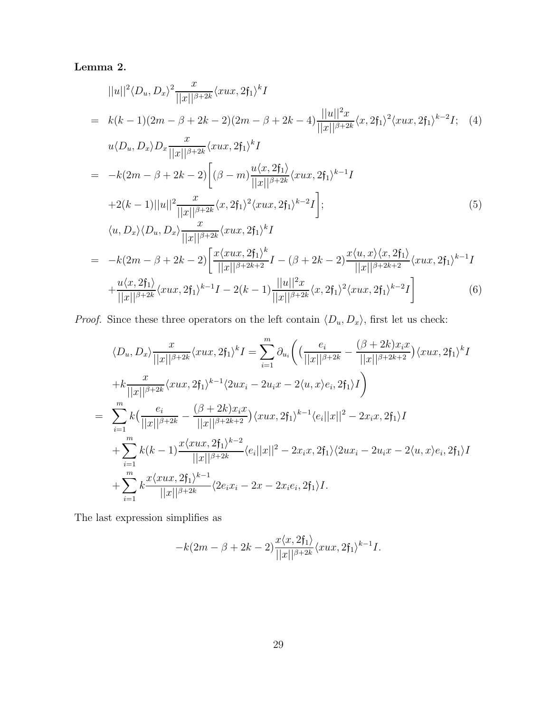<span id="page-28-1"></span>Lemma 2.

<span id="page-28-0"></span>
$$
||u||^{2}\langle D_{u}, D_{x}\rangle^{2} \frac{x}{||x||^{\beta+2k}}\langle xux, 2f_{1}\rangle^{k}I
$$
\n
$$
= k(k-1)(2m - \beta + 2k - 2)(2m - \beta + 2k - 4) \frac{||u||^{2}x}{||x||^{\beta+2k}}\langle x, 2f_{1}\rangle^{2}\langle xux, 2f_{1}\rangle^{k-2}I; (4)
$$
\n
$$
u\langle D_{u}, D_{x}\rangle D_{x} \frac{x}{||x||^{\beta+2k}}\langle xux, 2f_{1}\rangle^{k}I
$$
\n
$$
= -k(2m - \beta + 2k - 2) \Big[ (\beta - m) \frac{u\langle x, 2f_{1}\rangle}{||x||^{\beta+2k}}\langle xux, 2f_{1}\rangle^{k-1}I
$$
\n
$$
+2(k - 1)||u||^{2} \frac{x}{||x||^{\beta+2k}}\langle x, 2f_{1}\rangle^{2}\langle xux, 2f_{1}\rangle^{k-2}I \Big]; \qquad (5)
$$
\n
$$
\langle u, D_{x}\rangle\langle D_{u}, D_{x}\rangle \frac{x}{||x||^{\beta+2k}}\langle xux, 2f_{1}\rangle^{k}I
$$
\n
$$
= -k(2m - \beta + 2k - 2) \Big[ \frac{x\langle xux, 2f_{1}\rangle^{k}}{||x||^{\beta+2k+2}}I - (\beta + 2k - 2) \frac{x\langle u, x\rangle\langle x, 2f_{1}\rangle}{||x||^{\beta+2k+2}}\langle xux, 2f_{1}\rangle^{k-1}I
$$
\n
$$
+ \frac{u\langle x, 2f_{1}\rangle}{||x||^{\beta+2k}}\langle xux, 2f_{1}\rangle^{k-1}I - 2(k - 1) \frac{||u||^{2}x}{||x||^{\beta+2k}}\langle x, 2f_{1}\rangle^{2}\langle xux, 2f_{1}\rangle^{k-2}I \Big] \qquad (6)
$$

*Proof.* Since these three operators on the left contain  $\langle D_u, D_x \rangle$ , first let us check:

$$
\langle D_u, D_x \rangle \frac{x}{||x||^{\beta+2k}} \langle xux, 2\mathfrak{f}_1 \rangle^k I = \sum_{i=1}^m \partial_{u_i} \left( \frac{e_i}{||x||^{\beta+2k}} - \frac{(\beta+2k)x_i x}{||x||^{\beta+2k+2}} \rangle \langle xux, 2\mathfrak{f}_1 \rangle^k I \n+ k \frac{x}{||x||^{\beta+2k}} \langle xux, 2\mathfrak{f}_1 \rangle^{k-1} \langle 2ux_i - 2u_i x - 2\langle u, x \rangle e_i, 2\mathfrak{f}_1 \rangle I \right) \n= \sum_{i=1}^m k \left( \frac{e_i}{||x||^{\beta+2k}} - \frac{(\beta+2k)x_i x}{||x||^{\beta+2k+2}} \rangle \langle xux, 2\mathfrak{f}_1 \rangle^{k-1} \langle e_i ||x||^2 - 2x_i x, 2\mathfrak{f}_1 \rangle I \n+ \sum_{i=1}^m k(k-1) \frac{x \langle xux, 2\mathfrak{f}_1 \rangle^{k-2}}{||x||^{\beta+2k}} \langle e_i ||x||^2 - 2x_i x, 2\mathfrak{f}_1 \rangle \langle 2ux_i - 2u_i x - 2\langle u, x \rangle e_i, 2\mathfrak{f}_1 \rangle I \n+ \sum_{i=1}^m k \frac{x \langle xux, 2\mathfrak{f}_1 \rangle^{k-1}}{||x||^{\beta+2k}} \langle 2e_i x_i - 2x - 2x_i e_i, 2\mathfrak{f}_1 \rangle I.
$$

The last expression simplifies as

$$
-k(2m-\beta+2k-2)\frac{x\langle x,2\mathfrak{f}_1\rangle}{||x||^{\beta+2k}}\langle xux,2\mathfrak{f}_1\rangle^{k-1}I.
$$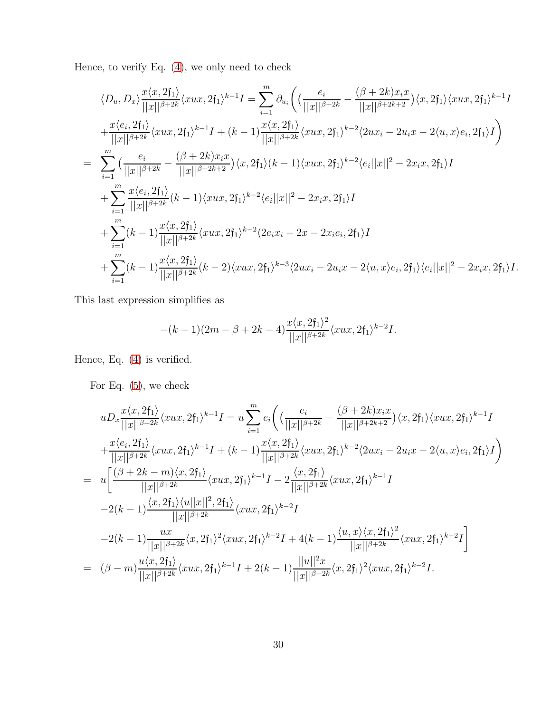Hence, to verify Eq. [\(4\)](#page-28-0), we only need to check

$$
\langle D_u, D_x \rangle \frac{x \langle x, 2f_1 \rangle}{\|x\|^{\beta+2k}} \langle xux, 2f_1 \rangle^{k-1} I = \sum_{i=1}^m \partial_{u_i} \left( \left( \frac{e_i}{\|x\|^{\beta+2k}} - \frac{(\beta + 2k)x_i x}{\|x\|^{\beta+2k+2}} \right) \langle x, 2f_1 \rangle \langle xux, 2f_1 \rangle^{k-1} I \right)
$$
  
+ 
$$
\frac{x \langle e_i, 2f_1 \rangle}{\|x\|^{\beta+2k}} \langle xux, 2f_1 \rangle^{k-1} I + (k-1) \frac{x \langle x, 2f_1 \rangle}{\|x\|^{\beta+2k}} \langle xux, 2f_1 \rangle^{k-2} \langle 2ux_i - 2u_i x - 2 \langle u, x \rangle e_i, 2f_1 \rangle I \right)
$$
  
= 
$$
\sum_{i=1}^m \left( \frac{e_i}{\|x\|^{\beta+2k}} - \frac{(\beta + 2k)x_i x}{\|x\|^{\beta+2k+2}} \right) \langle x, 2f_1 \rangle (k-1) \langle xux, 2f_1 \rangle^{k-2} \langle e_i ||x||^2 - 2x_i x, 2f_1 \rangle I
$$
  
+ 
$$
\sum_{i=1}^m \frac{x \langle e_i, 2f_1 \rangle}{\|x\|^{\beta+2k}} (k-1) \langle xux, 2f_1 \rangle^{k-2} \langle e_i ||x||^2 - 2x_i x, 2f_1 \rangle I
$$
  
+ 
$$
\sum_{i=1}^m (k-1) \frac{x \langle x, 2f_1 \rangle}{\|x\|^{\beta+2k}} \langle xux, 2f_1 \rangle^{k-2} \langle 2e_i x_i - 2x - 2x_i e_i, 2f_1 \rangle I
$$
  
+ 
$$
\sum_{i=1}^m (k-1) \frac{x \langle x, 2f_1 \rangle}{\|x\|^{\beta+2k}} (k-2) \langle xux, 2f_1 \rangle^{k-3} \langle 2ux_i - 2u_i x - 2 \langle u, x \rangle e_i, 2f_1 \rangle \langle e_i ||x||^2 - 2x_i x, 2f_1 \rangle I.
$$

This last expression simplifies as

$$
-(k-1)(2m-\beta+2k-4)\frac{x\langle x,2\mathfrak{f}_1\rangle^2}{||x||^{\beta+2k}}\langle xux,2\mathfrak{f}_1\rangle^{k-2}I.
$$

Hence, Eq. [\(4\)](#page-28-0) is verified.

For Eq. [\(5\)](#page-28-0), we check

$$
uD_{x} \frac{x\langle x, 2f_{1}\rangle}{||x||^{\beta+2k}} \langle xux, 2f_{1}\rangle^{k-1} I = u \sum_{i=1}^{m} e_{i} \bigg( \frac{e_{i}}{||x||^{\beta+2k}} - \frac{(\beta+2k)x_{i}x}{||x||^{\beta+2k+2}} \rangle \langle x, 2f_{1}\rangle \langle xux, 2f_{1}\rangle^{k-1} I
$$
  
+ 
$$
\frac{x\langle e_{i}, 2f_{1}\rangle}{||x||^{\beta+2k}} \langle xux, 2f_{1}\rangle^{k-1} I + (k-1) \frac{x\langle x, 2f_{1}\rangle}{||x||^{\beta+2k}} \langle xux, 2f_{1}\rangle^{k-2} \langle 2ux_{i} - 2u_{i}x - 2\langle u, x\rangle e_{i}, 2f_{1}\rangle I \bigg)
$$
  
= 
$$
u \bigg[ \frac{(\beta+2k-m)\langle x, 2f_{1}\rangle}{||x||^{\beta+2k}} \langle xux, 2f_{1}\rangle^{k-1} I - 2 \frac{\langle x, 2f_{1}\rangle}{||x||^{\beta+2k}} \langle xux, 2f_{1}\rangle^{k-1} I
$$
  
-2(k-1)
$$
\frac{\langle x, 2f_{1}\rangle \langle u||x||^{2}, 2f_{1}\rangle}{||x||^{\beta+2k}} \langle xux, 2f_{1}\rangle^{k-2} I
$$
  
-2(k-1)
$$
\frac{ux}{||x||^{\beta+2k}} \langle x, 2f_{1}\rangle^{2} \langle xux, 2f_{1}\rangle^{k-2} I + 4(k-1) \frac{\langle u, x\rangle \langle x, 2f_{1}\rangle^{2}}{||x||^{\beta+2k}} \langle xux, 2f_{1}\rangle^{k-2} I
$$
  
= 
$$
(\beta-m) \frac{u\langle x, 2f_{1}\rangle}{||x||^{\beta+2k}} \langle xux, 2f_{1}\rangle^{k-1} I + 2(k-1) \frac{||u||^{2}x}{||x||^{\beta+2k}} \langle x, 2f_{1}\rangle^{2} \langle xux, 2f_{1}\rangle^{k-2} I.
$$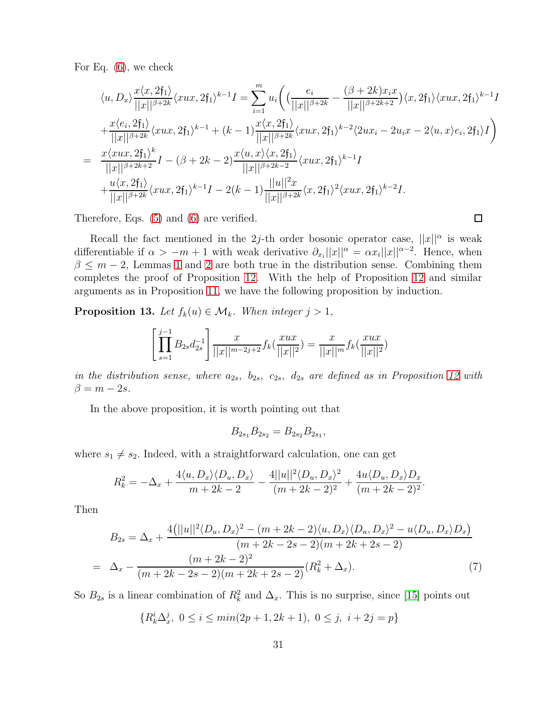For Eq. [\(6\)](#page-28-0), we check

$$
\langle u, D_x \rangle \frac{x \langle x, 2f_1 \rangle}{||x||^{\beta+2k}} \langle xux, 2f_1 \rangle^{k-1} I = \sum_{i=1}^m u_i \left( \left( \frac{e_i}{||x||^{\beta+2k}} - \frac{(\beta + 2k)x_i x}{||x||^{\beta+2k+2}} \right) \langle x, 2f_1 \rangle \langle xux, 2f_1 \rangle^{k-1} I \right)
$$
  
+ 
$$
\frac{x \langle e_i, 2f_1 \rangle}{||x||^{\beta+2k}} \langle xux, 2f_1 \rangle^{k-1} + (k-1) \frac{x \langle x, 2f_1 \rangle}{||x||^{\beta+2k}} \langle xux, 2f_1 \rangle^{k-2} \langle 2ux_i - 2u_i x - 2 \langle u, x \rangle e_i, 2f_1 \rangle I \right)
$$
  
= 
$$
\frac{x \langle xux, 2f_1 \rangle^k}{||x||^{\beta+2k+2}} I - (\beta + 2k - 2) \frac{x \langle u, x \rangle \langle x, 2f_1 \rangle}{||x||^{\beta+2k-2}} \langle xux, 2f_1 \rangle^{k-1} I
$$
  
+ 
$$
\frac{u \langle x, 2f_1 \rangle}{||x||^{\beta+2k}} \langle xux, 2f_1 \rangle^{k-1} I - 2(k-1) \frac{||u||^2 x}{||x||^{\beta+2k}} \langle x, 2f_1 \rangle^2 \langle xux, 2f_1 \rangle^{k-2} I.
$$

 $\Box$ 

Therefore, Eqs. [\(5\)](#page-28-0) and [\(6\)](#page-28-0) are verified.

Recall the fact mentioned in the 2j-th order bosonic operator case,  $||x||^{\alpha}$  is weak differentiable if  $\alpha > -m+1$  with weak derivative  $\partial_{x_i} ||x||^{\alpha} = \alpha x_i ||x||^{\alpha-2}$ . Hence, when  $\beta \leq m-2$ , Lemmas [1](#page-26-0) and [2](#page-28-1) are both true in the distribution sense. Combining them completes the proof of Proposition [12.](#page-26-1) With the help of Proposition [12](#page-26-1) and similar arguments as in Proposition [11,](#page-24-0) we have the following proposition by induction.

<span id="page-30-1"></span>**Proposition 13.** Let  $f_k(u) \in \mathcal{M}_k$ . When integer  $j > 1$ ,

$$
\left[\prod_{s=1}^{j-1} B_{2s} d_{2s}^{-1}\right] \frac{x}{||x||^{m-2j+2}} f_k(\frac{xux}{||x||^2}) = \frac{x}{||x||^m} f_k(\frac{xux}{||x||^2})
$$

in the distribution sense, where  $a_{2s}$ ,  $b_{2s}$ ,  $c_{2s}$ ,  $d_{2s}$  are defined as in Proposition [12](#page-26-1) with  $\beta = m - 2s$ .

In the above proposition, it is worth pointing out that

$$
B_{2s_1}B_{2s_2} = B_{2s_2}B_{2s_1},
$$

where  $s_1 \neq s_2$ . Indeed, with a straightforward calculation, one can get

$$
R_k^2 = -\Delta_x + \frac{4\langle u, D_x \rangle \langle D_u, D_x \rangle}{m + 2k - 2} - \frac{4||u||^2 \langle D_u, D_x \rangle^2}{(m + 2k - 2)^2} + \frac{4u \langle D_u, D_x \rangle D_x}{(m + 2k - 2)^2}.
$$

Then

<span id="page-30-0"></span>
$$
B_{2s} = \Delta_x + \frac{4(||u||^2 \langle D_u, D_x \rangle^2 - (m + 2k - 2) \langle u, D_x \rangle \langle D_u, D_x \rangle^2 - u \langle D_u, D_x \rangle D_x)}{(m + 2k - 2s - 2)(m + 2k + 2s - 2)}
$$
  
= 
$$
\Delta_x - \frac{(m + 2k - 2)^2}{(m + 2k - 2s - 2)(m + 2k + 2s - 2)} (R_k^2 + \Delta_x).
$$
 (7)

So  $B_{2s}$  is a linear combination of  $R_k^2$  and  $\Delta_x$ . This is no surprise, since [\[15\]](#page-32-12) points out

$$
\{R_k^i \Delta_x^j, \ 0 \le i \le \min(2p+1, 2k+1), \ 0 \le j, \ i+2j = p\}
$$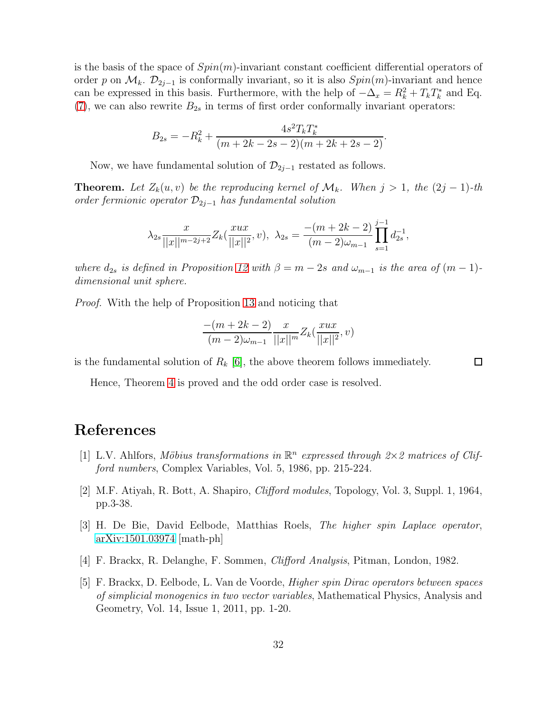is the basis of the space of  $Spin(m)$ -invariant constant coefficient differential operators of order p on  $\mathcal{M}_k$ .  $\mathcal{D}_{2j-1}$  is conformally invariant, so it is also  $Spin(m)$ -invariant and hence can be expressed in this basis. Furthermore, with the help of  $-\Delta_x = R_k^2 + T_kT_k^*$  and Eq.  $(7)$ , we can also rewrite  $B_{2s}$  in terms of first order conformally invariant operators:

$$
B_{2s} = -R_k^2 + \frac{4s^2 T_k T_k^*}{(m+2k-2s-2)(m+2k+2s-2)}.
$$

Now, we have fundamental solution of  $\mathcal{D}_{2j-1}$  restated as follows.

**Theorem.** Let  $Z_k(u, v)$  be the reproducing kernel of  $\mathcal{M}_k$ . When  $j > 1$ , the  $(2j - 1)$ -th order fermionic operator  $\mathcal{D}_{2i-1}$  has fundamental solution

$$
\lambda_{2s} \frac{x}{||x||^{m-2j+2}} Z_k(\frac{xux}{||x||^2}, v), \quad \lambda_{2s} = \frac{-(m+2k-2)}{(m-2)\omega_{m-1}} \prod_{s=1}^{j-1} d_{2s}^{-1},
$$

where  $d_{2s}$  is defined in Proposition [12](#page-26-1) with  $\beta = m - 2s$  and  $\omega_{m-1}$  is the area of  $(m-1)$ dimensional unit sphere.

Proof. With the help of Proposition [13](#page-30-1) and noticing that

$$
\frac{-(m+2k-2)}{(m-2)\omega_{m-1}}\frac{x}{||x||^m}Z_k(\frac{xux}{||x||^2},v)
$$

 $\Box$ 

is the fundamental solution of  $R_k$  [\[6\]](#page-32-0), the above theorem follows immediately.

Hence, Theorem [4](#page-25-0) is proved and the odd order case is resolved.

## <span id="page-31-3"></span>References

- [1] L.V. Ahlfors, Möbius transformations in  $\mathbb{R}^n$  expressed through  $2 \times 2$  matrices of Clifford numbers, Complex Variables, Vol. 5, 1986, pp. 215-224.
- <span id="page-31-4"></span><span id="page-31-0"></span>[2] M.F. Atiyah, R. Bott, A. Shapiro, Clifford modules, Topology, Vol. 3, Suppl. 1, 1964, pp.3-38.
- [3] H. De Bie, David Eelbode, Matthias Roels, The higher spin Laplace operator, [arXiv:1501.03974](http://arxiv.org/abs/1501.03974) [math-ph]
- <span id="page-31-2"></span><span id="page-31-1"></span>[4] F. Brackx, R. Delanghe, F. Sommen, Clifford Analysis, Pitman, London, 1982.
- [5] F. Brackx, D. Eelbode, L. Van de Voorde, Higher spin Dirac operators between spaces of simplicial monogenics in two vector variables, Mathematical Physics, Analysis and Geometry, Vol. 14, Issue 1, 2011, pp. 1-20.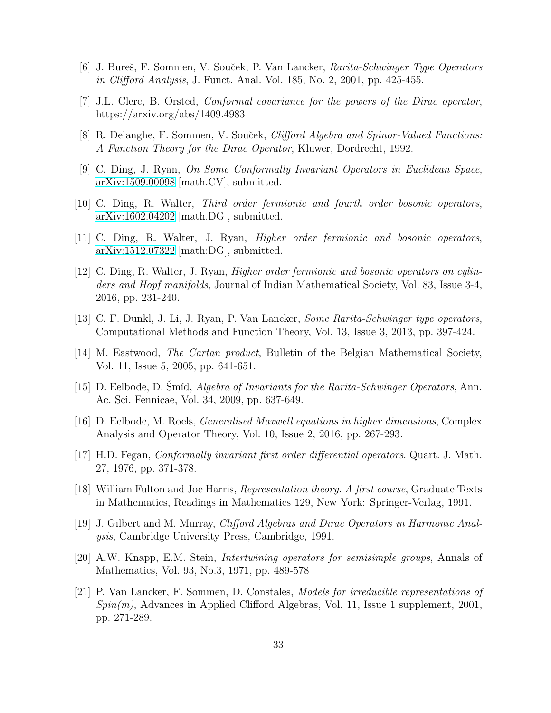- <span id="page-32-5"></span><span id="page-32-0"></span>[6] J. Bureš, F. Sommen, V. Souček, P. Van Lancker, *Rarita-Schwinger Type Operators* in Clifford Analysis, J. Funct. Anal. Vol. 185, No. 2, 2001, pp. 425-455.
- <span id="page-32-10"></span>[7] J.L. Clerc, B. Orsted, Conformal covariance for the powers of the Dirac operator, https://arxiv.org/abs/1409.4983
- <span id="page-32-8"></span>[8] R. Delanghe, F. Sommen, V. Souček, *Clifford Algebra and Spinor-Valued Functions:* A Function Theory for the Dirac Operator, Kluwer, Dordrecht, 1992.
- <span id="page-32-4"></span>[9] C. Ding, J. Ryan, On Some Conformally Invariant Operators in Euclidean Space, [arXiv:1509.00098](http://arxiv.org/abs/1509.00098) [math.CV], submitted.
- <span id="page-32-3"></span>[10] C. Ding, R. Walter, Third order fermionic and fourth order bosonic operators, [arXiv:1602.04202](http://arxiv.org/abs/1602.04202) [math.DG], submitted.
- <span id="page-32-15"></span>[11] C. Ding, R. Walter, J. Ryan, Higher order fermionic and bosonic operators, [arXiv:1512.07322](http://arxiv.org/abs/1512.07322) [math:DG], submitted.
- [12] C. Ding, R. Walter, J. Ryan, Higher order fermionic and bosonic operators on cylinders and Hopf manifolds, Journal of Indian Mathematical Society, Vol. 83, Issue 3-4, 2016, pp. 231-240.
- <span id="page-32-13"></span><span id="page-32-1"></span>[13] C. F. Dunkl, J. Li, J. Ryan, P. Van Lancker, Some Rarita-Schwinger type operators, Computational Methods and Function Theory, Vol. 13, Issue 3, 2013, pp. 397-424.
- <span id="page-32-12"></span>[14] M. Eastwood, The Cartan product, Bulletin of the Belgian Mathematical Society, Vol. 11, Issue 5, 2005, pp. 641-651.
- <span id="page-32-2"></span>[15] D. Eelbode, D. Smíd, Algebra of Invariants for the Rarita-Schwinger Operators, Ann. Ac. Sci. Fennicae, Vol. 34, 2009, pp. 637-649.
- <span id="page-32-9"></span>[16] D. Eelbode, M. Roels, Generalised Maxwell equations in higher dimensions, Complex Analysis and Operator Theory, Vol. 10, Issue 2, 2016, pp. 267-293.
- [17] H.D. Fegan, Conformally invariant first order differential operators. Quart. J. Math. 27, 1976, pp. 371-378.
- <span id="page-32-14"></span><span id="page-32-7"></span>[18] William Fulton and Joe Harris, Representation theory. A first course, Graduate Texts in Mathematics, Readings in Mathematics 129, New York: Springer-Verlag, 1991.
- <span id="page-32-6"></span>[19] J. Gilbert and M. Murray, Clifford Algebras and Dirac Operators in Harmonic Analysis, Cambridge University Press, Cambridge, 1991.
- <span id="page-32-11"></span>[20] A.W. Knapp, E.M. Stein, Intertwining operators for semisimple groups, Annals of Mathematics, Vol. 93, No.3, 1971, pp. 489-578
- [21] P. Van Lancker, F. Sommen, D. Constales, Models for irreducible representations of  $Spin(m)$ , Advances in Applied Clifford Algebras, Vol. 11, Issue 1 supplement, 2001, pp. 271-289.